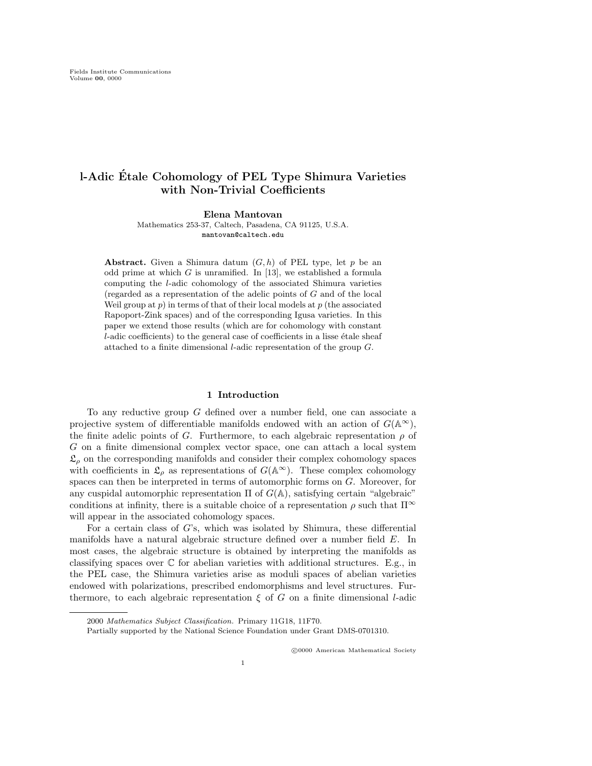Elena Mantovan

Mathematics 253-37, Caltech, Pasadena, CA 91125, U.S.A. mantovan@caltech.edu

**Abstract.** Given a Shimura datum  $(G, h)$  of PEL type, let p be an odd prime at which  $G$  is unramified. In [13], we established a formula computing the l-adic cohomology of the associated Shimura varieties (regarded as a representation of the adelic points of G and of the local Weil group at  $p$ ) in terms of that of their local models at  $p$  (the associated Rapoport-Zink spaces) and of the corresponding Igusa varieties. In this paper we extend those results (which are for cohomology with constant  $l$ -adic coefficients) to the general case of coefficients in a lisse étale sheaf attached to a finite dimensional l-adic representation of the group G.

#### 1 Introduction

To any reductive group G defined over a number field, one can associate a projective system of differentiable manifolds endowed with an action of  $G(\mathbb{A}^{\infty})$ , the finite adelic points of G. Furthermore, to each algebraic representation  $\rho$  of G on a finite dimensional complex vector space, one can attach a local system  $\mathfrak{L}_{\rho}$  on the corresponding manifolds and consider their complex cohomology spaces with coefficients in  $\mathfrak{L}_{\rho}$  as representations of  $G(\mathbb{A}^{\infty})$ . These complex cohomology spaces can then be interpreted in terms of automorphic forms on G. Moreover, for any cuspidal automorphic representation  $\Pi$  of  $G(\mathbb{A})$ , satisfying certain "algebraic" conditions at infinity, there is a suitable choice of a representation  $\rho$  such that  $\Pi^{\infty}$ will appear in the associated cohomology spaces.

For a certain class of G's, which was isolated by Shimura, these differential manifolds have a natural algebraic structure defined over a number field E. In most cases, the algebraic structure is obtained by interpreting the manifolds as classifying spaces over  $\mathbb C$  for abelian varieties with additional structures. E.g., in the PEL case, the Shimura varieties arise as moduli spaces of abelian varieties endowed with polarizations, prescribed endomorphisms and level structures. Furthermore, to each algebraic representation  $\xi$  of G on a finite dimensional l-adic

<sup>2000</sup> Mathematics Subject Classification. Primary 11G18, 11F70.

Partially supported by the National Science Foundation under Grant DMS-0701310.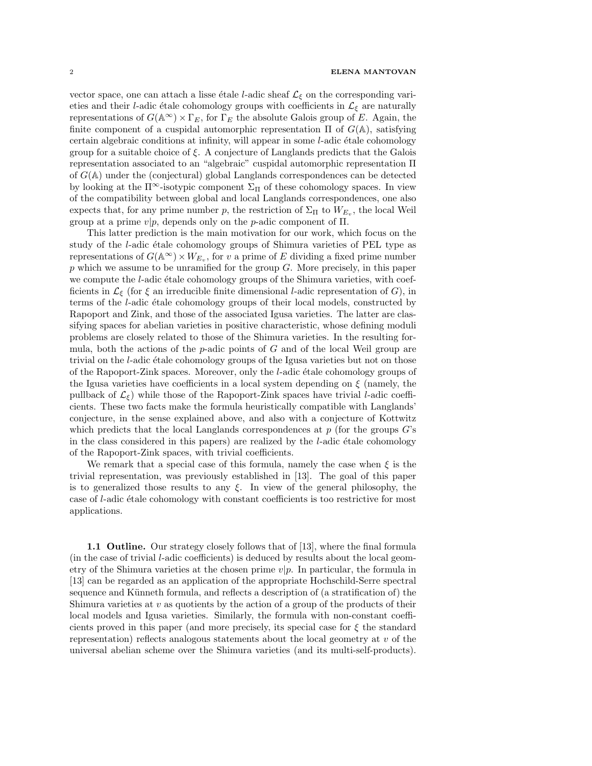vector space, one can attach a lisse étale *l*-adic sheaf  $\mathcal{L}_{\xi}$  on the corresponding varieties and their *l*-adic étale cohomology groups with coefficients in  $\mathcal{L}_{\xi}$  are naturally representations of  $G(\mathbb{A}^{\infty}) \times \Gamma_E$ , for  $\Gamma_E$  the absolute Galois group of E. Again, the finite component of a cuspidal automorphic representation  $\Pi$  of  $G(\mathbb{A})$ , satisfying certain algebraic conditions at infinity, will appear in some  $l$ -adic étale cohomology group for a suitable choice of  $\xi$ . A conjecture of Langlands predicts that the Galois representation associated to an "algebraic" cuspidal automorphic representation Π of  $G(\mathbb{A})$  under the (conjectural) global Langlands correspondences can be detected by looking at the  $\Pi^{\infty}$ -isotypic component  $\Sigma_{\Pi}$  of these cohomology spaces. In view of the compatibility between global and local Langlands correspondences, one also expects that, for any prime number p, the restriction of  $\Sigma_{\Pi}$  to  $W_{E_v}$ , the local Weil group at a prime  $v|p$ , depends only on the p-adic component of  $\Pi$ .

This latter prediction is the main motivation for our work, which focus on the study of the *l*-adic étale cohomology groups of Shimura varieties of PEL type as representations of  $G(\mathbb{A}^{\infty}) \times W_{E_v}$ , for v a prime of E dividing a fixed prime number  $p$  which we assume to be unramified for the group  $G$ . More precisely, in this paper we compute the  $l$ -adic étale cohomology groups of the Shimura varieties, with coefficients in  $\mathcal{L}_{\xi}$  (for  $\xi$  an irreducible finite dimensional *l*-adic representation of G), in terms of the *l*-adic étale cohomology groups of their local models, constructed by Rapoport and Zink, and those of the associated Igusa varieties. The latter are classifying spaces for abelian varieties in positive characteristic, whose defining moduli problems are closely related to those of the Shimura varieties. In the resulting formula, both the actions of the  $p$ -adic points of  $G$  and of the local Weil group are trivial on the  $l$ -adic étale cohomology groups of the Igusa varieties but not on those of the Rapoport-Zink spaces. Moreover, only the  $l$ -adic étale cohomology groups of the Igusa varieties have coefficients in a local system depending on  $\xi$  (namely, the pullback of  $\mathcal{L}_{\xi}$ ) while those of the Rapoport-Zink spaces have trivial *l*-adic coefficients. These two facts make the formula heuristically compatible with Langlands' conjecture, in the sense explained above, and also with a conjecture of Kottwitz which predicts that the local Langlands correspondences at  $p$  (for the groups  $G$ 's in the class considered in this papers) are realized by the  $l$ -adic étale cohomology of the Rapoport-Zink spaces, with trivial coefficients.

We remark that a special case of this formula, namely the case when  $\xi$  is the trivial representation, was previously established in [13]. The goal of this paper is to generalized those results to any  $\xi$ . In view of the general philosophy, the case of *l*-adic étale cohomology with constant coefficients is too restrictive for most applications.

1.1 Outline. Our strategy closely follows that of [13], where the final formula (in the case of trivial l-adic coefficients) is deduced by results about the local geometry of the Shimura varieties at the chosen prime  $v|p$ . In particular, the formula in [13] can be regarded as an application of the appropriate Hochschild-Serre spectral sequence and Künneth formula, and reflects a description of (a stratification of) the Shimura varieties at  $v$  as quotients by the action of a group of the products of their local models and Igusa varieties. Similarly, the formula with non-constant coefficients proved in this paper (and more precisely, its special case for  $\xi$  the standard representation) reflects analogous statements about the local geometry at  $v$  of the universal abelian scheme over the Shimura varieties (and its multi-self-products).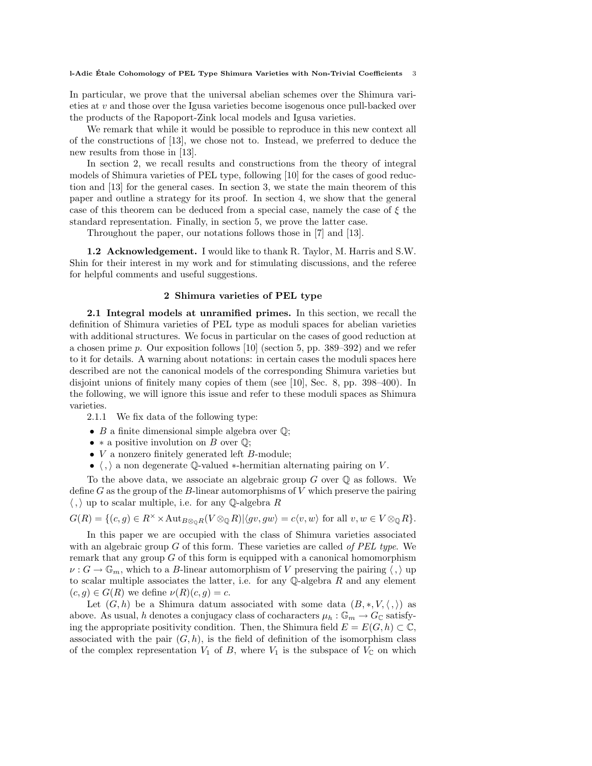In particular, we prove that the universal abelian schemes over the Shimura varieties at v and those over the Igusa varieties become isogenous once pull-backed over the products of the Rapoport-Zink local models and Igusa varieties.

We remark that while it would be possible to reproduce in this new context all of the constructions of [13], we chose not to. Instead, we preferred to deduce the new results from those in [13].

In section 2, we recall results and constructions from the theory of integral models of Shimura varieties of PEL type, following [10] for the cases of good reduction and [13] for the general cases. In section 3, we state the main theorem of this paper and outline a strategy for its proof. In section 4, we show that the general case of this theorem can be deduced from a special case, namely the case of  $\xi$  the standard representation. Finally, in section 5, we prove the latter case.

Throughout the paper, our notations follows those in [7] and [13].

1.2 Acknowledgement. I would like to thank R. Taylor, M. Harris and S.W. Shin for their interest in my work and for stimulating discussions, and the referee for helpful comments and useful suggestions.

# 2 Shimura varieties of PEL type

2.1 Integral models at unramified primes. In this section, we recall the definition of Shimura varieties of PEL type as moduli spaces for abelian varieties with additional structures. We focus in particular on the cases of good reduction at a chosen prime  $p$ . Our exposition follows [10] (section 5, pp. 389–392) and we refer to it for details. A warning about notations: in certain cases the moduli spaces here described are not the canonical models of the corresponding Shimura varieties but disjoint unions of finitely many copies of them (see [10], Sec. 8, pp. 398–400). In the following, we will ignore this issue and refer to these moduli spaces as Shimura varieties.

2.1.1 We fix data of the following type:

- $B$  a finite dimensional simple algebra over  $\mathbb{Q}$ ;
- $*$  a positive involution on B over  $\mathbb{Q}$ ;
- $\bullet$  V a nonzero finitely generated left B-module;
- $\langle , \rangle$  a non degenerate Q-valued ∗-hermitian alternating pairing on V.

To the above data, we associate an algebraic group  $G$  over  $\mathbb Q$  as follows. We define  $G$  as the group of the B-linear automorphisms of  $V$  which preserve the pairing  $\langle , \rangle$  up to scalar multiple, i.e. for any Q-algebra R

$$
G(R) = \{(c, g) \in R^{\times} \times \text{Aut}_{B \otimes_{\mathbb{Q}} R}(V \otimes_{\mathbb{Q}} R) | \langle gv, gw \rangle = c \langle v, w \rangle \text{ for all } v, w \in V \otimes_{\mathbb{Q}} R \}.
$$

In this paper we are occupied with the class of Shimura varieties associated with an algebraic group  $G$  of this form. These varieties are called of PEL type. We remark that any group  $G$  of this form is equipped with a canonical homomorphism  $\nu: G \to \mathbb{G}_m$ , which to a B-linear automorphism of V preserving the pairing  $\langle , \rangle$  up to scalar multiple associates the latter, i.e. for any  $\mathbb Q$ -algebra R and any element  $(c, q) \in G(R)$  we define  $\nu(R)(c, q) = c$ .

Let  $(G, h)$  be a Shimura datum associated with some data  $(B, \ast, V, \langle , \rangle)$  as above. As usual, h denotes a conjugacy class of cocharacters  $\mu_h : \mathbb{G}_m \to G_{\mathbb{C}}$  satisfying the appropriate positivity condition. Then, the Shimura field  $E = E(G, h) \subset \mathbb{C}$ , associated with the pair  $(G, h)$ , is the field of definition of the isomorphism class of the complex representation  $V_1$  of B, where  $V_1$  is the subspace of  $V_{\mathbb{C}}$  on which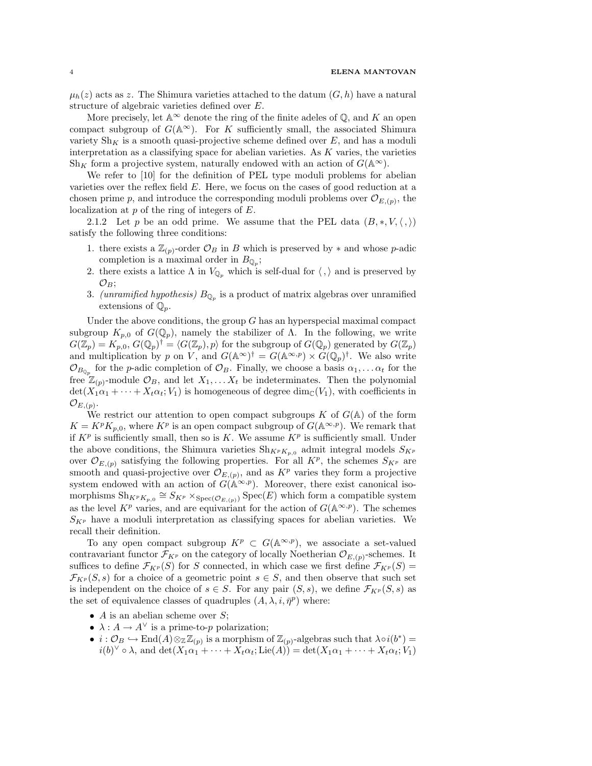$\mu_h(z)$  acts as z. The Shimura varieties attached to the datum  $(G, h)$  have a natural structure of algebraic varieties defined over E.

More precisely, let  $\mathbb{A}^{\infty}$  denote the ring of the finite adeles of  $\mathbb{Q}$ , and K an open compact subgroup of  $G(\mathbb{A}^{\infty})$ . For K sufficiently small, the associated Shimura variety  $\text{Sh}_{K}$  is a smooth quasi-projective scheme defined over E, and has a moduli interpretation as a classifying space for abelian varieties. As  $K$  varies, the varieties  $\text{Sh}_K$  form a projective system, naturally endowed with an action of  $G(\mathbb{A}^{\infty})$ .

We refer to [10] for the definition of PEL type moduli problems for abelian varieties over the reflex field  $E$ . Here, we focus on the cases of good reduction at a chosen prime p, and introduce the corresponding moduli problems over  $\mathcal{O}_{E,(p)}$ , the localization at p of the ring of integers of E.

2.1.2 Let p be an odd prime. We assume that the PEL data  $(B,*,V,\langle,\rangle)$ satisfy the following three conditions:

- 1. there exists a  $\mathbb{Z}_{(p)}$ -order  $\mathcal{O}_B$  in B which is preserved by  $*$  and whose p-adic completion is a maximal order in  $B_{\mathbb{Q}_p}$ ;
- 2. there exists a lattice  $\Lambda$  in  $V_{\mathbb{O}_p}$  which is self-dual for  $\langle , \rangle$  and is preserved by  $\mathcal{O}_B$ ;
- 3. (unramified hypothesis)  $B_{\mathbb{Q}_p}$  is a product of matrix algebras over unramified extensions of  $\mathbb{Q}_p$ .

Under the above conditions, the group  $G$  has an hyperspecial maximal compact subgroup  $K_{p,0}$  of  $G(\mathbb{Q}_p)$ , namely the stabilizer of  $\Lambda$ . In the following, we write  $G(\mathbb{Z}_p) = K_{p,0}$ ,  $G(\mathbb{Q}_p)^\dagger = \langle G(\mathbb{Z}_p), p \rangle$  for the subgroup of  $G(\mathbb{Q}_p)$  generated by  $G(\mathbb{Z}_p)$ and multiplication by p on V, and  $G(\mathbb{A}^{\infty})^{\dagger} = G(\mathbb{A}^{\infty,p}) \times G(\mathbb{Q}_p)^{\dagger}$ . We also write  $\mathcal{O}_{B_{\mathbb{Q}_p}}$  for the *p*-adic completion of  $\mathcal{O}_B$ . Finally, we choose a basis  $\alpha_1, \ldots, \alpha_t$  for the free  $\mathbb{Z}_{(p)}$ -module  $\mathcal{O}_B$ , and let  $X_1, \ldots X_t$  be indeterminates. Then the polynomial  $\det(X_1\alpha_1 + \cdots + X_t\alpha_t; V_1)$  is homogeneous of degree  $\dim_{\mathbb{C}}(V_1)$ , with coefficients in  $\mathcal{O}_{E,(p)}.$ 

We restrict our attention to open compact subgroups  $K$  of  $G(A)$  of the form  $K = K^p K_{p,0}$ , where  $K^p$  is an open compact subgroup of  $G(\mathbb{A}^{\infty,p})$ . We remark that if  $K^p$  is sufficiently small, then so is K. We assume  $K^p$  is sufficiently small. Under the above conditions, the Shimura varieties  $\mathrm{Sh}_{K^pK_{p,0}}$  admit integral models  $S_{K^p}$ over  $\mathcal{O}_{E,(p)}$  satisfying the following properties. For all  $K^p$ , the schemes  $S_{K^p}$  are smooth and quasi-projective over  $\mathcal{O}_{E,(p)}$ , and as  $K^p$  varies they form a projective system endowed with an action of  $G(\mathbb{A}^{\infty,p})$ . Moreover, there exist canonical isomorphisms  $\text{Sh}_{K^pK_{p,0}} \cong S_{K^p} \times_{\text{Spec}(\mathcal{O}_{E,(p)})} \text{Spec}(E)$  which form a compatible system as the level  $K^p$  varies, and are equivariant for the action of  $G(\mathbb{A}^{\infty,p})$ . The schemes  $S_{K_p}$  have a moduli interpretation as classifying spaces for abelian varieties. We recall their definition.

To any open compact subgroup  $K^p \subset G(\mathbb{A}^{\infty,p})$ , we associate a set-valued contravariant functor  $\mathcal{F}_{K^p}$  on the category of locally Noetherian  $\mathcal{O}_{E,(p)}$ -schemes. It suffices to define  $\mathcal{F}_{K^p}(S)$  for S connected, in which case we first define  $\mathcal{F}_{K^p}(S)$  =  $\mathcal{F}_{K^p}(S,s)$  for a choice of a geometric point  $s \in S$ , and then observe that such set is independent on the choice of  $s \in S$ . For any pair  $(S, s)$ , we define  $\mathcal{F}_{K^p}(S, s)$  as the set of equivalence classes of quadruples  $(A, \lambda, i, \bar{\eta}^p)$  where:

- A is an abelian scheme over  $S$ ;
- $\lambda: A \to A^{\vee}$  is a prime-to-p polarization;
- $i: \mathcal{O}_B \hookrightarrow \text{End}(A) \otimes_{\mathbb{Z}} \mathbb{Z}_{(p)}$  is a morphism of  $\mathbb{Z}_{(p)}$ -algebras such that  $\lambda \circ i(b^*) =$  $i(b)^{\vee} \circ \lambda$ , and  $\det(X_1 \alpha_1 + \cdots + X_t \alpha_t; \text{Lie}(A)) = \det(X_1 \alpha_1 + \cdots + X_t \alpha_t; V_1)$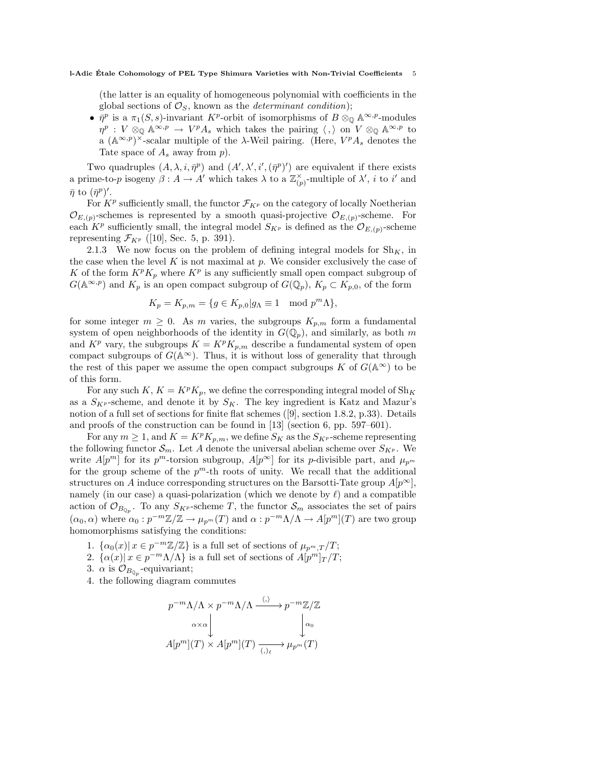(the latter is an equality of homogeneous polynomial with coefficients in the global sections of  $\mathcal{O}_S$ , known as the *determinant condition*);

•  $\bar{\eta}^p$  is a  $\pi_1(S, s)$ -invariant K<sup>p</sup>-orbit of isomorphisms of  $B \otimes_{\mathbb{Q}} \mathbb{A}^{\infty, p}$ -modules  $\eta^p: V \otimes_{\mathbb{Q}} \mathbb{A}^{\infty,p} \to V^p A_s$  which takes the pairing  $\langle , \rangle$  on  $V \otimes_{\mathbb{Q}} \mathbb{A}^{\infty,p}$  to a  $(\mathbb{A}^{\infty,p})^{\times}$ -scalar multiple of the  $\lambda$ -Weil pairing. (Here,  $V^pA_s$  denotes the Tate space of  $A_s$  away from  $p$ ).

Two quadruples  $(A, \lambda, i, \bar{\eta}^p)$  and  $(A', \lambda', i', (\bar{\eta}^p)')$  are equivalent if there exists a prime-to-p isogeny  $\beta: A \to A'$  which takes  $\lambda$  to a  $\mathbb{Z}_{(p)}^{\times}$ -multiple of  $\lambda'$ , i to i' and  $\bar{\eta}$  to  $(\bar{\eta}^p)'$ .

For  $K^p$  sufficiently small, the functor  $\mathcal{F}_{K^p}$  on the category of locally Noetherian  $\mathcal{O}_{E,(p)}$ -schemes is represented by a smooth quasi-projective  $\mathcal{O}_{E,(p)}$ -scheme. For each  $K^p$  sufficiently small, the integral model  $S_{K^p}$  is defined as the  $\mathcal{O}_{E,(p)}$ -scheme representing  $\mathcal{F}_{K^p}$  ([10], Sec. 5, p. 391).

2.1.3 We now focus on the problem of defining integral models for  $\text{Sh}_K$ , in the case when the level  $K$  is not maximal at  $p$ . We consider exclusively the case of K of the form  $K^pK_p$  where  $K^p$  is any sufficiently small open compact subgroup of  $G(\mathbb{A}^{\infty,p})$  and  $K_p$  is an open compact subgroup of  $G(\mathbb{Q}_p)$ ,  $K_p \subset K_{p,0}$ , of the form

$$
K_p = K_{p,m} = \{ g \in K_{p,0} | g_\Lambda \equiv 1 \mod p^m \Lambda \},
$$

for some integer  $m \geq 0$ . As m varies, the subgroups  $K_{p,m}$  form a fundamental system of open neighborhoods of the identity in  $G(\mathbb{Q}_p)$ , and similarly, as both m and  $K^p$  vary, the subgroups  $K = K^p K_{p,m}$  describe a fundamental system of open compact subgroups of  $G(\mathbb{A}^{\infty})$ . Thus, it is without loss of generality that through the rest of this paper we assume the open compact subgroups K of  $G(\mathbb{A}^{\infty})$  to be of this form.

For any such K,  $K = K^p K_p$ , we define the corresponding integral model of  $\text{Sh}_K$ as a  $S_{K^p}$ -scheme, and denote it by  $S_K$ . The key ingredient is Katz and Mazur's notion of a full set of sections for finite flat schemes ([9], section 1.8.2, p.33). Details and proofs of the construction can be found in [13] (section 6, pp. 597–601).

For any  $m \geq 1$ , and  $K = K^p K_{p,m}$ , we define  $S_K$  as the  $S_{K^p}$ -scheme representing the following functor  $\mathcal{S}_m$ . Let A denote the universal abelian scheme over  $S_{K^p}$ . We write  $A[p^m]$  for its  $p^m$ -torsion subgroup,  $A[p^{\infty}]$  for its p-divisible part, and  $\mu_{p^m}$ for the group scheme of the  $p^m$ -th roots of unity. We recall that the additional structures on A induce corresponding structures on the Barsotti-Tate group  $A[p^{\infty}]$ , namely (in our case) a quasi-polarization (which we denote by  $\ell$ ) and a compatible action of  $\mathcal{O}_{B_{\mathbb{Q}_p}}$ . To any  $S_{K^p}$ -scheme T, the functor  $\mathcal{S}_m$  associates the set of pairs  $(\alpha_0, \alpha)$  where  $\alpha_0 : p^{-m}\mathbb{Z}/\mathbb{Z} \to \mu_{p^m}(T)$  and  $\alpha : p^{-m}\Lambda/\Lambda \to A[p^m](T)$  are two group homomorphisms satisfying the conditions:

- 1.  $\{\alpha_0(x) | x \in p^{-m}\mathbb{Z}/\mathbb{Z}\}\$ is a full set of sections of  $\mu_{p^m,T}/T$ ;
- 2.  $\{\alpha(x) | x \in p^{-m} \Lambda/\Lambda\}$  is a full set of sections of  $A[p^m]_T/T$ ;
- 3.  $\alpha$  is  $\mathcal{O}_{B_{\mathbb{Q}_p}}$ -equivariant;
- 4. the following diagram commutes

$$
p^{-m}\Lambda/\Lambda \times p^{-m}\Lambda/\Lambda \xrightarrow{\langle,\rangle} p^{-m}\mathbb{Z}/\mathbb{Z}
$$

$$
\alpha \times \alpha \downarrow \qquad \qquad \downarrow \alpha_0
$$

$$
A[p^m](T) \times A[p^m](T) \xrightarrow{\langle,\rangle_\ell} \mu_{p^m}(T)
$$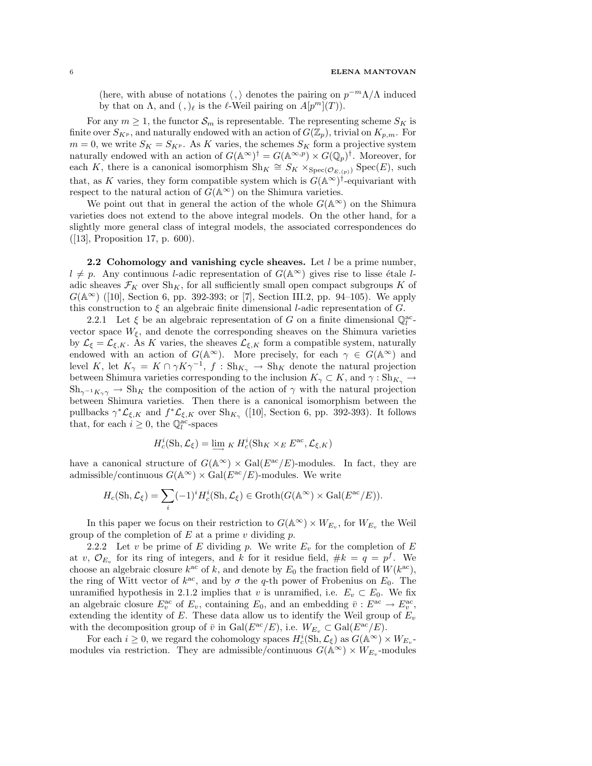(here, with abuse of notations  $\langle , \rangle$  denotes the pairing on  $p^{-m}\Lambda/\Lambda$  induced by that on  $\Lambda$ , and  $(,)_{\ell}$  is the  $\ell$ -Weil pairing on  $A[p^m](T)$ ).

For any  $m \geq 1$ , the functor  $\mathcal{S}_m$  is representable. The representing scheme  $S_K$  is finite over  $S_{K^p}$ , and naturally endowed with an action of  $G(\mathbb{Z}_p)$ , trivial on  $K_{p,m}$ . For  $m = 0$ , we write  $S_K = S_{K^p}$ . As K varies, the schemes  $S_K$  form a projective system naturally endowed with an action of  $G(\mathbb{A}^{\infty})^{\dagger} = G(\mathbb{A}^{\infty,p}) \times G(\mathbb{Q}_p)^{\dagger}$ . Moreover, for each K, there is a canonical isomorphism  $\text{Sh}_K \cong S_K \times_{\text{Spec}(\mathcal{O}_{E,(p)})} \text{Spec}(E)$ , such that, as K varies, they form compatible system which is  $G(A^{\infty})^{\dagger}$ -equivariant with respect to the natural action of  $G(\mathbb{A}^{\infty})$  on the Shimura varieties.

We point out that in general the action of the whole  $G(\mathbb{A}^{\infty})$  on the Shimura varieties does not extend to the above integral models. On the other hand, for a slightly more general class of integral models, the associated correspondences do ([13], Proposition 17, p. 600).

2.2 Cohomology and vanishing cycle sheaves. Let  $l$  be a prime number,  $l \neq p$ . Any continuous l-adic representation of  $G(\mathbb{A}^{\infty})$  gives rise to lisse étale ladic sheaves  $\mathcal{F}_K$  over  $\text{Sh}_K$ , for all sufficiently small open compact subgroups K of  $G(\mathbb{A}^{\infty})$  ([10], Section 6, pp. 392-393; or [7], Section III.2, pp. 94–105). We apply this construction to  $\xi$  an algebraic finite dimensional l-adic representation of G.

2.2.1 Let  $\xi$  be an algebraic representation of G on a finite dimensional  $\mathbb{Q}_l^{\text{ac}}$ . vector space  $W_{\xi}$ , and denote the corresponding sheaves on the Shimura varieties by  $\mathcal{L}_{\xi} = \mathcal{L}_{\xi,K}$ . As K varies, the sheaves  $\mathcal{L}_{\xi,K}$  form a compatible system, naturally endowed with an action of  $G(\mathbb{A}^{\infty})$ . More precisely, for each  $\gamma \in G(\mathbb{A}^{\infty})$  and level K, let  $K_\gamma = K \cap \gamma K \gamma^{-1}$ ,  $f : Sh_{K_\gamma} \to Sh_K$  denote the natural projection between Shimura varieties corresponding to the inclusion  $K_{\gamma} \subset K$ , and  $\gamma : Sh_{K_{\gamma}} \to$  $\mathrm{Sh}_{\gamma^{-1}K_{\gamma}} \to \mathrm{Sh}_{K}$  the composition of the action of  $\gamma$  with the natural projection between Shimura varieties. Then there is a canonical isomorphism between the pullbacks  $\gamma^* \mathcal{L}_{\xi,K}$  and  $f^* \mathcal{L}_{\xi,K}$  over  $\text{Sh}_{K_{\gamma}}$  ([10], Section 6, pp. 392-393). It follows that, for each  $i \geq 0$ , the  $\mathbb{Q}_l^{\text{ac}}$ -spaces

$$
H_c^i(\mathrm{Sh}, \mathcal{L}_\xi) = \varinjlim_{K} H_c^i(\mathrm{Sh}_K \times_E E^{ac}, \mathcal{L}_{\xi, K})
$$

have a canonical structure of  $G(\mathbb{A}^{\infty}) \times \text{Gal}(E^{\text{ac}}/E)$ -modules. In fact, they are admissible/continuous  $G(\mathbb{A}^{\infty}) \times Gal(E^{\text{ac}}/E)$ -modules. We write

$$
H_c(\mathrm{Sh}, \mathcal{L}_\xi) = \sum_i (-1)^i H_c^i(\mathrm{Sh}, \mathcal{L}_\xi) \in \mathrm{Groth}(G(\mathbb{A}^\infty) \times \mathrm{Gal}(E^{\mathrm{ac}}/E)).
$$

In this paper we focus on their restriction to  $G(\mathbb{A}^{\infty}) \times W_{E_v}$ , for  $W_{E_v}$  the Weil group of the completion of  $E$  at a prime  $v$  dividing  $p$ .

2.2.2 Let v be prime of E dividing p. We write  $E_v$  for the completion of E at v,  $\mathcal{O}_{E_v}$  for its ring of integers, and k for it residue field,  $\#k = q = p^f$ . We choose an algebraic closure  $k^{ac}$  of k, and denote by  $E_0$  the fraction field of  $W(k^{ac})$ , the ring of Witt vector of  $k^{ac}$ , and by  $\sigma$  the q-th power of Frobenius on  $E_0$ . The unramified hypothesis in 2.1.2 implies that v is unramified, i.e.  $E_v \subset E_0$ . We fix an algebraic closure  $E_v^{\text{ac}}$  of  $E_v$ , containing  $E_0$ , and an embedding  $\bar{v}: E^{\text{ac}} \to E_v^{\text{ac}}$ , extending the identity of  $E$ . These data allow us to identify the Weil group of  $E_v$ with the decomposition group of  $\bar{v}$  in Gal( $E^{\rm ac}/E$ ), i.e.  $W_{E_v} \subset \text{Gal}(E^{\rm ac}/E)$ .

For each  $i \geq 0$ , we regard the cohomology spaces  $H_c^i(\text{Sh}, \mathcal{L}_\xi)$  as  $G(\mathbb{A}^\infty) \times W_{E_v}$ modules via restriction. They are admissible/continuous  $G(\mathbb{A}^{\infty}) \times W_{E_v}$ -modules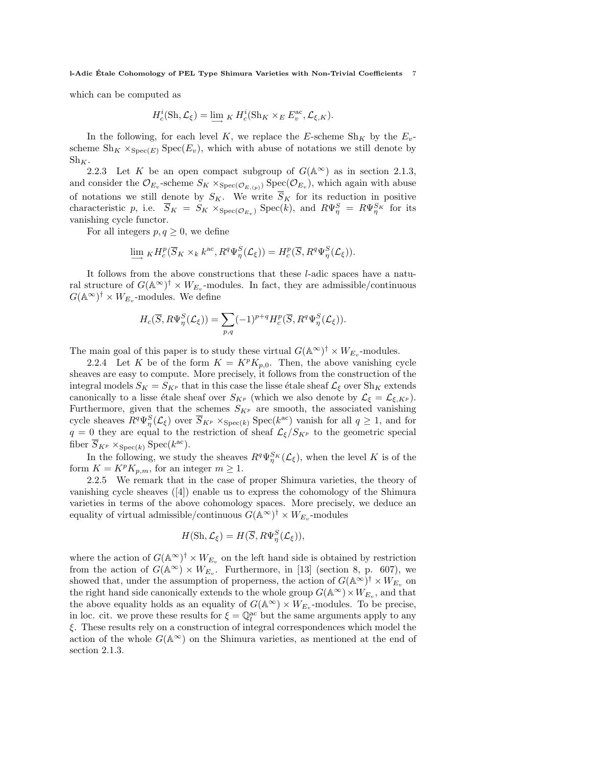which can be computed as

$$
H_c^i(\mathrm{Sh}, \mathcal{L}_\xi) = \varinjlim_{K} H_c^i(\mathrm{Sh}_K \times_E E_v^{\mathrm{ac}}, \mathcal{L}_{\xi, K}).
$$

In the following, for each level K, we replace the E-scheme  $\text{Sh}_K$  by the  $E_v$ scheme  $\text{Sh}_K \times_{\text{Spec}(E)} \text{Spec}(E_v)$ , which with abuse of notations we still denote by  $\mathrm{Sh}_K.$ 

2.2.3 Let K be an open compact subgroup of  $G(\mathbb{A}^{\infty})$  as in section 2.1.3, and consider the  $\mathcal{O}_{E_v}$ -scheme  $S_K \times_{\text{Spec}(\mathcal{O}_{E,(p)})} \text{Spec}(\mathcal{O}_{E_v})$ , which again with abuse of notations we still denote by  $S_K$ . We write  $\overline{S}_K$  for its reduction in positive characteristic p, i.e.  $\overline{S}_K = S_K \times_{\text{Spec}(\mathcal{O}_{E_v})} \text{Spec}(k)$ , and  $R\Psi_{\eta}^S = R\Psi_{\eta}^{S_K}$  for its vanishing cycle functor.

For all integers  $p, q \geq 0$ , we define

$$
\lim_{\longrightarrow} {}_K H^p_c(\overline{S}_K\times_k k^{\text{ac}}, R^q \Psi^S_\eta(\mathcal{L}_\xi)) = H^p_c(\overline{S}, R^q \Psi^S_\eta(\mathcal{L}_\xi)).
$$

It follows from the above constructions that these l-adic spaces have a natural structure of  $G(\mathbb{A}^{\infty})^{\dagger} \times W_{E_v}$ -modules. In fact, they are admissible/continuous  $G(\mathbb{A}^{\infty})^{\dagger} \times W_{E_v}$ -modules. We define

$$
H_c(\overline{S}, R\Psi^S_\eta(\mathcal{L}_\xi)) = \sum_{p,q} (-1)^{p+q} H_c^p(\overline{S}, R^q \Psi^S_\eta(\mathcal{L}_\xi)).
$$

The main goal of this paper is to study these virtual  $G(\mathbb{A}^{\infty})^{\dagger} \times W_{E_v}$ -modules.

2.2.4 Let K be of the form  $K = K^p K_{p,0}$ . Then, the above vanishing cycle sheaves are easy to compute. More precisely, it follows from the construction of the integral models  $S_K = S_{K^p}$  that in this case the lisse étale sheaf  $\mathcal{L}_{\xi}$  over  $\text{Sh}_K$  extends canonically to a lisse étale sheaf over  $S_{K^p}$  (which we also denote by  $\mathcal{L}_{\xi} = \mathcal{L}_{\xi, K^p}$ ). Furthermore, given that the schemes  $S_{K^p}$  are smooth, the associated vanishing cycle sheaves  $R^q \Psi^S_{\eta}(\mathcal{L}_{\xi})$  over  $\overline{S}_{K^p} \times_{\text{Spec}(k)} \text{Spec}(k^{\text{ac}})$  vanish for all  $q \geq 1$ , and for  $q = 0$  they are equal to the restriction of sheaf  $\mathcal{L}_{\xi}/S_{K^p}$  to the geometric special fiber  $\overline{S}_{K^p} \times_{\text{Spec}(k)} \text{Spec}(k^{\text{ac}})$ .

In the following, we study the sheaves  $R^q \Psi_{\eta}^{S_K}(\mathcal{L}_{\xi})$ , when the level K is of the form  $K = K^p K_{n,m}$ , for an integer  $m \geq 1$ .

2.2.5 We remark that in the case of proper Shimura varieties, the theory of vanishing cycle sheaves ([4]) enable us to express the cohomology of the Shimura varieties in terms of the above cohomology spaces. More precisely, we deduce an equality of virtual admissible/continuous  $G(\mathbb{A}^{\infty})^{\dagger} \times W_{E_v}$ -modules

$$
H(\mathrm{Sh}, \mathcal{L}_{\xi}) = H(\overline{S}, R\Psi_{\eta}^{S}(\mathcal{L}_{\xi})),
$$

where the action of  $G(\mathbb{A}^{\infty})^{\dagger} \times W_{E_v}$  on the left hand side is obtained by restriction from the action of  $G(\mathbb{A}^{\infty}) \times W_{E_v}$ . Furthermore, in [13] (section 8, p. 607), we showed that, under the assumption of properness, the action of  $G(\mathbb{A}^{\infty})^{\dagger} \times W_{E_v}$  on the right hand side canonically extends to the whole group  $G(\mathbb{A}^{\infty}) \times W_{E_v}$ , and that the above equality holds as an equality of  $G(\mathbb{A}^{\infty}) \times W_{E_v}$ -modules. To be precise, in loc. cit. we prove these results for  $\xi = \mathbb{Q}_l^{\text{ac}}$  but the same arguments apply to any ξ. These results rely on a construction of integral correspondences which model the action of the whole  $G(\mathbb{A}^{\infty})$  on the Shimura varieties, as mentioned at the end of section 2.1.3.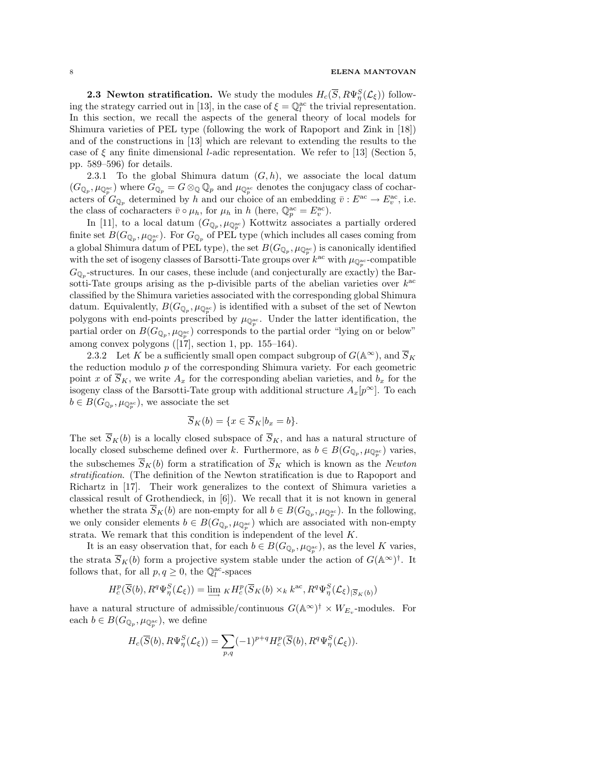#### 8 ELENA MANTOVAN

**2.3 Newton stratification.** We study the modules  $H_c(\overline{S}, R\Psi_{\eta}^S(\mathcal{L}_{\xi}))$  following the strategy carried out in [13], in the case of  $\xi = \mathbb{Q}_l^{\text{ac}}$  the trivial representation. In this section, we recall the aspects of the general theory of local models for Shimura varieties of PEL type (following the work of Rapoport and Zink in [18]) and of the constructions in [13] which are relevant to extending the results to the case of  $\xi$  any finite dimensional *l*-adic representation. We refer to [13] (Section 5, pp. 589–596) for details.

2.3.1 To the global Shimura datum  $(G, h)$ , we associate the local datum  $(G_{\mathbb{Q}_p}, \mu_{\mathbb{Q}_p^{\rm ac}})$  where  $G_{\mathbb{Q}_p} = G \otimes_{\mathbb{Q}} \mathbb{Q}_p$  and  $\mu_{\mathbb{Q}_p^{\rm ac}}$  denotes the conjugacy class of cocharacters of  $G_{\mathbb{Q}_p}$  determined by h and our choice of an embedding  $\overline{v}: E^{ac} \to E^{ac}_v$ , i.e. the class of cocharacters  $\bar{v} \circ \mu_h$ , for  $\mu_h$  in h (here,  $\mathbb{Q}_p^{\text{ac}} = E_v^{\text{ac}}$ ).

In [11], to a local datum  $(G_{\mathbb{Q}_p}, \mu_{\mathbb{Q}_p^{ac}})$  Kottwitz associates a partially ordered finite set  $B(G_{\mathbb{Q}_p}, \mu_{\mathbb{Q}_p^{\rm ac}})$ . For  $G_{\mathbb{Q}_p}$  of PEL type (which includes all cases coming from a global Shimura datum of PEL type), the set  $B(G_{\mathbb{Q}_p}, \mu_{\mathbb{Q}_p^{\mathrm{ac}}})$  is canonically identified with the set of isogeny classes of Barsotti-Tate groups over  $k^{\text{ac}}$  with  $\mu_{\mathbb{Q}_p^{\text{ac}}}$ -compatible  $G_{\mathbb{Q}_p}$ -structures. In our cases, these include (and conjecturally are exactly) the Barsotti-Tate groups arising as the p-divisible parts of the abelian varieties over  $k^{ac}$ classified by the Shimura varieties associated with the corresponding global Shimura datum. Equivalently,  $B(G_{\mathbb{Q}_p}, \mu_{\mathbb{Q}_p^{\mathrm{ac}}})$  is identified with a subset of the set of Newton polygons with end-points prescribed by  $\mu_{\mathbb{Q}_p^{\mathrm{ac}}}$ . Under the latter identification, the partial order on  $B(G_{\mathbb{Q}_p}, \mu_{\mathbb{Q}_p^{\rm ac}})$  corresponds to the partial order "lying on or below" among convex polygons  $([17], \text{ section } 1, \text{ pp. } 155-164)$ .

2.3.2 Let K be a sufficiently small open compact subgroup of  $G(\mathbb{A}^{\infty})$ , and  $\overline{S}_K$ the reduction modulo  $p$  of the corresponding Shimura variety. For each geometric point x of  $S_K$ , we write  $A_x$  for the corresponding abelian varieties, and  $b_x$  for the isogeny class of the Barsotti-Tate group with additional structure  $A_x[p^{\infty}]$ . To each  $b \in B(G_{\mathbb{Q}_p}, \mu_{\mathbb{Q}_p^{\mathrm{ac}}})$ , we associate the set

$$
\overline{S}_K(b) = \{ x \in \overline{S}_K | b_x = b \}.
$$

The set  $\overline{S}_K(b)$  is a locally closed subspace of  $\overline{S}_K$ , and has a natural structure of locally closed subscheme defined over k. Furthermore, as  $b \in B(G_{\mathbb{Q}_p}, \mu_{\mathbb{Q}_p^{\rm ac}})$  varies, the subschemes  $\overline{S}_K(b)$  form a stratification of  $\overline{S}_K$  which is known as the Newton stratification. (The definition of the Newton stratification is due to Rapoport and Richartz in [17]. Their work generalizes to the context of Shimura varieties a classical result of Grothendieck, in [6]). We recall that it is not known in general whether the strata  $S_K(b)$  are non-empty for all  $b \in B(G_{\mathbb{Q}_p}, \mu_{\mathbb{Q}_p^{\mathrm{ac}}})$ . In the following, we only consider elements  $b \in B(G_{\mathbb{Q}_p}, \mu_{\mathbb{Q}_p^{\mathrm{ac}}})$  which are associated with non-empty strata. We remark that this condition is independent of the level K.

It is an easy observation that, for each  $b \in B(G_{\mathbb{Q}_p}, \mu_{\mathbb{Q}_p^{\rm ac}})$ , as the level K varies, the strata  $\overline{S}_K(b)$  form a projective system stable under the action of  $G(\mathbb{A}^{\infty})^{\dagger}$ . It follows that, for all  $p, q \ge 0$ , the  $\mathbb{Q}_l^{\text{ac}}$ -spaces

$$
H^p_c(\overline{S}(b), R^q \Psi_\eta^S(\mathcal{L}_\xi)) = \varinjlim{}_K H^p_c(\overline{S}_K(b) \times_k k^{\mathrm{ac}}, R^q \Psi_\eta^S(\mathcal{L}_\xi)_{|\overline{S}_K(b)})
$$

have a natural structure of admissible/continuous  $G(\mathbb{A}^{\infty})^{\dagger} \times W_{E_v}$ -modules. For each  $b \in B(G_{\mathbb{Q}_p}, \mu_{\mathbb{Q}_p^{\mathrm{ac}}})$ , we define

$$
H_c(\overline{S}(b), R\Psi_\eta^S(\mathcal{L}_\xi)) = \sum_{p,q} (-1)^{p+q} H_c^p(\overline{S}(b), R^q \Psi_\eta^S(\mathcal{L}_\xi)).
$$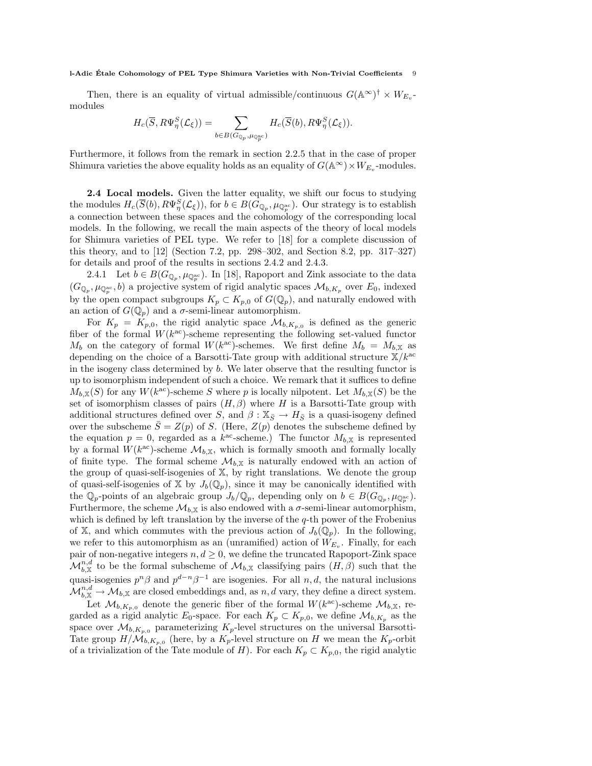Then, there is an equality of virtual admissible/continuous  $G(\mathbb{A}^{\infty})^{\dagger} \times W_{E_v}$ modules

$$
H_c(\overline{S}, R\Psi^S_\eta(\mathcal{L}_\xi)) = \sum_{b \in B(G_{\mathbb{Q}_p}, \mu_{\mathbb{Q}_p^{\mathrm{ac}}})} H_c(\overline{S}(b), R\Psi^S_\eta(\mathcal{L}_\xi)).
$$

Furthermore, it follows from the remark in section 2.2.5 that in the case of proper Shimura varieties the above equality holds as an equality of  $G(\mathbb{A}^{\infty}) \times W_{E_v}$ -modules.

2.4 Local models. Given the latter equality, we shift our focus to studying the modules  $H_c(\overline{S}(b), R\Psi_{\eta}^S(\mathcal{L}_{\xi}))$ , for  $b \in B(G_{\mathbb{Q}_p}, \mu_{\mathbb{Q}_p^{\rm ac}})$ . Our strategy is to establish a connection between these spaces and the cohomology of the corresponding local models. In the following, we recall the main aspects of the theory of local models for Shimura varieties of PEL type. We refer to [18] for a complete discussion of this theory, and to [12] (Section 7.2, pp. 298–302, and Section 8.2, pp. 317–327) for details and proof of the results in sections 2.4.2 and 2.4.3.

2.4.1 Let  $b \in B(G_{\mathbb{Q}_p}, \mu_{\mathbb{Q}_p^{\mathrm{ac}}})$ . In [18], Rapoport and Zink associate to the data  $(G_{\mathbb{Q}_p}, \mu_{\mathbb{Q}_p^{\rm ac}}, b)$  a projective system of rigid analytic spaces  $\mathcal{M}_{b,K_p}$  over  $E_0$ , indexed by the open compact subgroups  $K_p \subset K_{p,0}$  of  $G(\mathbb{Q}_p)$ , and naturally endowed with an action of  $G(\mathbb{Q}_p)$  and a  $\sigma$ -semi-linear automorphism.

For  $K_p = K_{p,0}$ , the rigid analytic space  $\mathcal{M}_{b,K_{p,0}}$  is defined as the generic fiber of the formal  $W(k^{ac})$ -scheme representing the following set-valued functor  $M_b$  on the category of formal  $W(k^{\text{ac}})$ -schemes. We first define  $M_b = M_{b,X}$  as depending on the choice of a Barsotti-Tate group with additional structure  $\mathbb{X}/k^{\text{ac}}$ in the isogeny class determined by b. We later observe that the resulting functor is up to isomorphism independent of such a choice. We remark that it suffices to define  $M_{b,\mathbb{X}}(S)$  for any  $W(k^{ac})$ -scheme S where p is locally nilpotent. Let  $M_{b,\mathbb{X}}(S)$  be the set of isomorphism classes of pairs  $(H, \beta)$  where H is a Barsotti-Tate group with additional structures defined over S, and  $\beta : \mathbb{X}_{\bar{S}} \to H_{\bar{S}}$  is a quasi-isogeny defined over the subscheme  $\overline{S} = Z(p)$  of S. (Here,  $Z(p)$  denotes the subscheme defined by the equation  $p = 0$ , regarded as a  $k^{\text{ac}}$ -scheme.) The functor  $M_{b,X}$  is represented by a formal  $W(k^{ac})$ -scheme  $\mathcal{M}_{b,X}$ , which is formally smooth and formally locally of finite type. The formal scheme  $\mathcal{M}_{b,X}$  is naturally endowed with an action of the group of quasi-self-isogenies of X, by right translations. We denote the group of quasi-self-isogenies of X by  $J_b(\mathbb{Q}_p)$ , since it may be canonically identified with the  $\mathbb{Q}_p$ -points of an algebraic group  $J_b/\mathbb{Q}_p$ , depending only on  $b \in B(G_{\mathbb{Q}_p}, \mu_{\mathbb{Q}_p^{\mathrm{ac}}}).$ Furthermore, the scheme  $\mathcal{M}_{b,\mathbb{X}}$  is also endowed with a  $\sigma$ -semi-linear automorphism, which is defined by left translation by the inverse of the  $q$ -th power of the Frobenius of X, and which commutes with the previous action of  $J_b(\mathbb{Q}_p)$ . In the following, we refer to this automorphism as an (unramified) action of  $W_{E_v}$ . Finally, for each pair of non-negative integers  $n, d \geq 0$ , we define the truncated Rapoport-Zink space  $\mathcal{M}_{b,\mathbb{X}}^{n,d}$  to be the formal subscheme of  $\mathcal{M}_{b,\mathbb{X}}$  classifying pairs  $(H,\beta)$  such that the quasi-isogenies  $p^{n}\beta$  and  $p^{d-n}\beta^{-1}$  are isogenies. For all  $n, d$ , the natural inclusions  $\mathcal{M}_{b,\mathbb{X}}^{n,d}\to\mathcal{M}_{b,\mathbb{X}}$  are closed embeddings and, as  $n,d$  vary, they define a direct system.

Let  $\mathcal{M}_{b,K_{p,0}}$  denote the generic fiber of the formal  $W(k^{\text{ac}})$ -scheme  $\mathcal{M}_{b,X}$ , regarded as a rigid analytic  $E_0$ -space. For each  $K_p \subset K_{p,0}$ , we define  $\mathcal{M}_{b,K_p}$  as the space over  $\mathcal{M}_{b,K_{n,0}}$  parameterizing  $K_p$ -level structures on the universal Barsotti-Tate group  $H/M_{b,K_{p,0}}$  (here, by a  $K_p$ -level structure on H we mean the  $K_p$ -orbit of a trivialization of the Tate module of H). For each  $K_p \subset K_{p,0}$ , the rigid analytic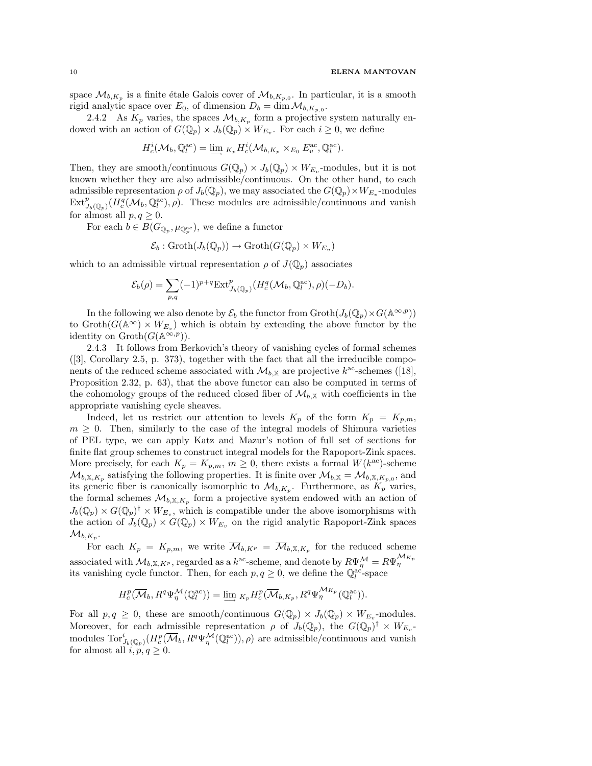space  $\mathcal{M}_{b,K_p}$  is a finite étale Galois cover of  $\mathcal{M}_{b,K_{p,0}}$ . In particular, it is a smooth rigid analytic space over  $E_0$ , of dimension  $D_b = \dim \mathcal{M}_{b,K_{p,0}}$ .

2.4.2 As  $K_p$  varies, the spaces  $\mathcal{M}_{b,K_p}$  form a projective system naturally endowed with an action of  $G(\mathbb{Q}_p) \times J_b(\mathbb{Q}_p) \times W_{E_v}$ . For each  $i \geq 0$ , we define

$$
H_c^i(\mathcal{M}_b, \mathbb{Q}_l^{\text{ac}}) = \underline{\lim}_{K_p} H_c^i(\mathcal{M}_{b, K_p} \times_{E_0} E_v^{\text{ac}}, \mathbb{Q}_l^{\text{ac}}).
$$

Then, they are smooth/continuous  $G(\mathbb{Q}_p) \times J_b(\mathbb{Q}_p) \times W_{E_v}$ -modules, but it is not known whether they are also admissible/continuous. On the other hand, to each admissible representation  $\rho$  of  $J_b(\mathbb{Q}_p)$ , we may associated the  $G(\mathbb{Q}_p) \times W_{E_v}$ -modules  $\text{Ext}^p_{J_b(\mathbb{Q}_p)}(H_c^q(\mathcal{M}_b,\mathbb{Q}_l^{\text{ac}}),\rho)$ . These modules are admissible/continuous and vanish for almost all  $p, q \geq 0$ .

For each  $b \in B(G_{\mathbb{Q}_p}, \mu_{\mathbb{Q}_p^{\mathrm{ac}}})$ , we define a functor

$$
\mathcal{E}_b : \operatorname{Groth}(J_b(\mathbb{Q}_p)) \to \operatorname{Groth}(G(\mathbb{Q}_p) \times W_{E_v})
$$

which to an admissible virtual representation  $\rho$  of  $J(\mathbb{Q}_p)$  associates

$$
\mathcal{E}_b(\rho) = \sum_{p,q} (-1)^{p+q} \mathrm{Ext}^p_{J_b(\mathbb{Q}_p)}(H_c^q(\mathcal{M}_b, \mathbb{Q}_l^{\mathrm{ac}}), \rho)(-D_b).
$$

In the following we also denote by  $\mathcal{E}_b$  the functor from  $\mathrm{Groth}(J_b(\mathbb{Q}_p)\times G(\mathbb{A}^{\infty,p}))$ to  $\operatorname{Groth}(G(\mathbb{A}^{\infty}) \times W_{E_v})$  which is obtain by extending the above functor by the identity on  $\mathrm{Groth}(G(\mathbb{A}^{\infty,p}))$ .

2.4.3 It follows from Berkovich's theory of vanishing cycles of formal schemes ([3], Corollary 2.5, p. 373), together with the fact that all the irreducible components of the reduced scheme associated with  $\mathcal{M}_{b,X}$  are projective  $k^{\text{ac}}$ -schemes ([18], Proposition 2.32, p. 63), that the above functor can also be computed in terms of the cohomology groups of the reduced closed fiber of  $\mathcal{M}_{b,X}$  with coefficients in the appropriate vanishing cycle sheaves.

Indeed, let us restrict our attention to levels  $K_p$  of the form  $K_p = K_{p,m}$ ,  $m \geq 0$ . Then, similarly to the case of the integral models of Shimura varieties of PEL type, we can apply Katz and Mazur's notion of full set of sections for finite flat group schemes to construct integral models for the Rapoport-Zink spaces. More precisely, for each  $K_p = K_{p,m}$ ,  $m \geq 0$ , there exists a formal  $W(k^{\text{ac}})$ -scheme  $\mathcal{M}_{b,\mathbb{X},K_p}$  satisfying the following properties. It is finite over  $\mathcal{M}_{b,\mathbb{X}} = \mathcal{M}_{b,\mathbb{X},K_p,0}$ , and its generic fiber is canonically isomorphic to  $\mathcal{M}_{b,K_p}$ . Furthermore, as  $K_p$  varies, the formal schemes  $\mathcal{M}_{b,X,K_p}$  form a projective system endowed with an action of  $J_b(\mathbb{Q}_p) \times G(\mathbb{Q}_p)^\dagger \times W_{E_v}$ , which is compatible under the above isomorphisms with the action of  $J_b(\mathbb{Q}_p) \times G(\mathbb{Q}_p) \times W_{E_v}$  on the rigid analytic Rapoport-Zink spaces  ${\mathcal M}_{b, K_p}.$ 

For each  $K_p = K_{p,m}$ , we write  $\overline{\mathcal{M}}_{b,K^p} = \overline{\mathcal{M}}_{b,\mathbb{X},K_p}$  for the reduced scheme associated with  $\mathcal{M}_{b,\mathbb{X},K^p}$ , regarded as a  $k^{\text{ac}}$ -scheme, and denote by  $R\Psi_{\eta}^{\mathcal{M}} = R\Psi_{\eta}^{\mathcal{M}_{K_p}}$ its vanishing cycle functor. Then, for each  $p, q \ge 0$ , we define the  $\mathbb{Q}_l^{ac'}$ -space

$$
H^p_c(\overline{\mathcal{M}}_b, R^q \Psi^{\mathcal{M}}_{\eta}(\mathbb{Q}^{\mathrm{ac}}_l)) = \underline{\lim}_{K_p} H^p_c(\overline{\mathcal{M}}_{b,K_p}, R^q \Psi^{\mathcal{M}_{K_p}}_{\eta}(\mathbb{Q}^{\mathrm{ac}}_l)).
$$

For all  $p, q \geq 0$ , these are smooth/continuous  $G(\mathbb{Q}_p) \times J_b(\mathbb{Q}_p) \times W_{E_v}$ -modules. Moreover, for each admissible representation  $\rho$  of  $J_b(\mathbb{Q}_p)$ , the  $G(\mathbb{Q}_p)^{\dagger} \times W_{E_v}$ modules  $\text{Tor}_{J_b(\mathbb{Q}_p)}^i(H_c^p(\overline{\mathcal{M}}_b, R^q \Psi_{\eta}^{\mathcal{M}}(\mathbb{Q}_l^{\text{ac}})), \rho)$  are admissible/continuous and vanish for almost all  $i, p, q \geq 0$ .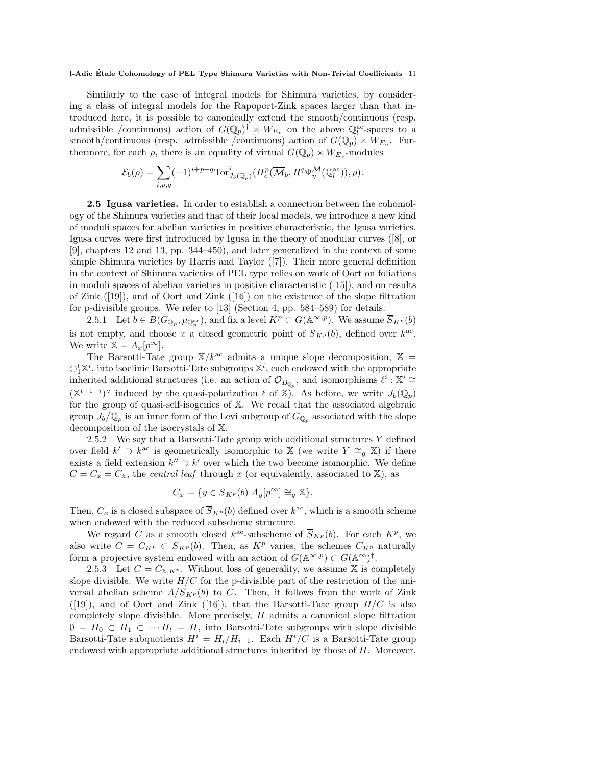Similarly to the case of integral models for Shimura varieties, by considering a class of integral models for the Rapoport-Zink spaces larger than that introduced here, it is possible to canonically extend the smooth/continuous (resp. admissible /continuous) action of  $G(\mathbb{Q}_p)^{\dagger} \times W_{E_v}$  on the above  $\mathbb{Q}_l^{\text{ac}}$ -spaces to a smooth/continuous (resp. admissible /continuous) action of  $G(\mathbb{Q}_p) \times W_{E_v}$ . Furthermore, for each  $\rho$ , there is an equality of virtual  $G(\mathbb{Q}_p) \times W_{E_v}$ -modules

$$
\mathcal{E}_b(\rho) = \sum_{i,p,q} (-1)^{i+p+q} \text{Tor}_{J_b(\mathbb{Q}_p)}^i(H_c^p(\overline{\mathcal{M}}_b, R^q \Psi_\eta^{\mathcal{M}}(\mathbb{Q}_l^{\text{ac}})), \rho).
$$

2.5 Igusa varieties. In order to establish a connection between the cohomology of the Shimura varieties and that of their local models, we introduce a new kind of moduli spaces for abelian varieties in positive characteristic, the Igusa varieties. Igusa curves were first introduced by Igusa in the theory of modular curves ([8], or [9], chapters 12 and 13, pp. 344–450), and later generalized in the context of some simple Shimura varieties by Harris and Taylor ([7]). Their more general definition in the context of Shimura varieties of PEL type relies on work of Oort on foliations in moduli spaces of abelian varieties in positive characteristic ([15]), and on results of Zink ([19]), and of Oort and Zink ([16]) on the existence of the slope filtration for p-divisible groups. We refer to [13] (Section 4, pp. 584–589) for details.

2.5.1 Let  $b \in B(G_{\mathbb{Q}_p}, \mu_{\mathbb{Q}_p^{\mathrm{ac}}})$ , and fix a level  $K^p \subset G(\mathbb{A}^{\infty,p})$ . We assume  $\overline{S}_{K^p}(b)$ is not empty, and choose x a closed geometric point of  $\overline{S}_{K^p}(b)$ , defined over  $k^{\text{ac}}$ . We write  $\mathbb{X} = A_x[p^{\infty}]$ .

The Barsotti-Tate group  $X/k^{ac}$  admits a unique slope decomposition,  $X =$  $\oplus_1^t \mathbb{X}^i$ , into isoclinic Barsotti-Tate subgroups  $\mathbb{X}^i$ , each endowed with the appropriate inherited additional structures (i.e. an action of  $\mathcal{O}_{B_{\mathbb{Q}_p}}$ , and isomorphisms  $\ell^i : \mathbb{X}^i \cong$  $(\mathbb{X}^{t+1-i})^{\vee}$  induced by the quasi-polarization  $\ell$  of  $\mathbb{X})$ . As before, we write  $J_b(\mathbb{Q}_p)$ for the group of quasi-self-isogenies of X. We recall that the associated algebraic group  $J_b/\mathbb{Q}_p$  is an inner form of the Levi subgroup of  $G_{\mathbb{Q}_p}$  associated with the slope decomposition of the isocrystals of X.

2.5.2 We say that a Barsotti-Tate group with additional structures  $Y$  defined over field  $k' \supset k^{\text{ac}}$  is geometrically isomorphic to X (we write  $Y \cong_g X$ ) if there exists a field extension  $k'' \supset k'$  over which the two become isomorphic. We define  $C = C_x = C_x$ , the *central leaf* through x (or equivalently, associated to X), as

$$
C_x = \{ y \in \overline{S}_{K^p}(b) | A_y[p^{\infty}] \cong_g \mathbb{X} \}.
$$

Then,  $C_x$  is a closed subspace of  $\overline{S}_{K^p}(b)$  defined over  $k^{\text{ac}}$ , which is a smooth scheme when endowed with the reduced subscheme structure.

We regard C as a smooth closed  $k^{\text{ac}}$ -subscheme of  $\overline{S}_{K^p}(b)$ . For each  $K^p$ , we also write  $C = C_{K^p} \subset \overline{S}_{K^p}(b)$ . Then, as  $K^p$  varies, the schemes  $C_{K^p}$  naturally form a projective system endowed with an action of  $G(\mathbb{A}^{\infty,p}) \subset G(\mathbb{A}^{\infty})^{\dagger}$ .

2.5.3 Let  $C = C_{\mathbb{X}, K^p}$ . Without loss of generality, we assume X is completely slope divisible. We write  $H/C$  for the p-divisible part of the restriction of the universal abelian scheme  $A/\overline{S}_{K^p}(b)$  to C. Then, it follows from the work of Zink  $([19])$ , and of Oort and Zink  $([16])$ , that the Barsotti-Tate group  $H/C$  is also completely slope divisible. More precisely,  $H$  admits a canonical slope filtration  $0 = H_0 \subset H_1 \subset \cdots H_t = H$ , into Barsotti-Tate subgroups with slope divisible Barsotti-Tate subquotients  $H^i = H_i/H_{i-1}$ . Each  $H^i/C$  is a Barsotti-Tate group endowed with appropriate additional structures inherited by those of H. Moreover,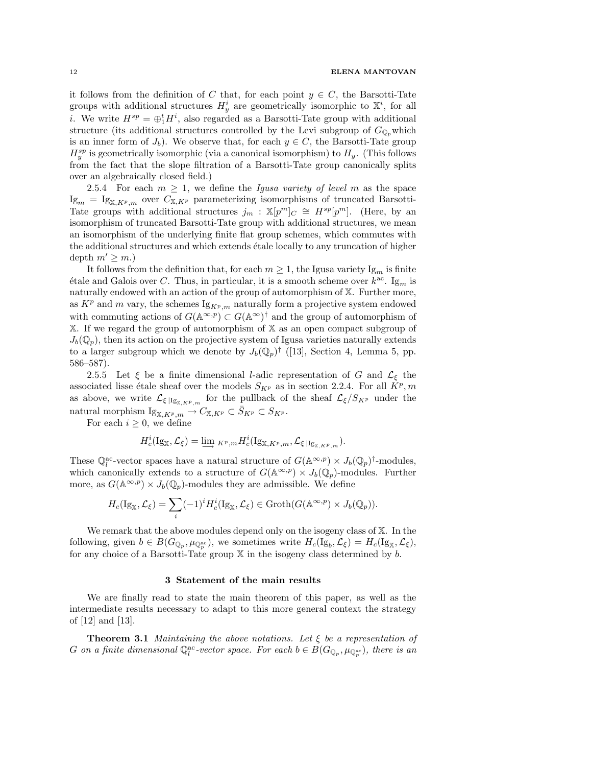it follows from the definition of C that, for each point  $y \in C$ , the Barsotti-Tate groups with additional structures  $H_y^i$  are geometrically isomorphic to  $\mathbb{X}^i$ , for all *i*. We write  $H^{sp} = \bigoplus_{i=1}^{t} H^{i}$ , also regarded as a Barsotti-Tate group with additional structure (its additional structures controlled by the Levi subgroup of  $G_{\mathbb{Q}_p}$  which is an inner form of  $J_b$ ). We observe that, for each  $y \in C$ , the Barsotti-Tate group  $H_y^{sp}$  is geometrically isomorphic (via a canonical isomorphism) to  $H_y$ . (This follows from the fact that the slope filtration of a Barsotti-Tate group canonically splits over an algebraically closed field.)

2.5.4 For each  $m \geq 1$ , we define the *Igusa variety of level m* as the space  $\mathrm{Ig}_m = \mathrm{Ig}_{\mathbb{X}, K^p, m}$  over  $C_{\mathbb{X}, K^p}$  parameterizing isomorphisms of truncated Barsotti-Tate groups with additional structures  $j_m$ :  $\mathbb{X}[p^m]_C \cong H^{sp}[p^m]$ . (Here, by an isomorphism of truncated Barsotti-Tate group with additional structures, we mean an isomorphism of the underlying finite flat group schemes, which commutes with the additional structures and which extends étale locally to any truncation of higher depth  $m' \geq m$ .

It follows from the definition that, for each  $m \geq 1$ , the Igusa variety Ig<sub>m</sub> is finite étale and Galois over C. Thus, in particular, it is a smooth scheme over  $k^{ac}$ . Ig<sub>m</sub> is naturally endowed with an action of the group of automorphism of X. Further more, as  $K^p$  and m vary, the schemes  $\lg_{K^p,m}$  naturally form a projective system endowed with commuting actions of  $G(\mathbb{A}^{\infty,p}) \subset G(\mathbb{A}^{\infty})^{\dagger}$  and the group of automorphism of X. If we regard the group of automorphism of X as an open compact subgroup of  $J_b(\mathbb{Q}_p)$ , then its action on the projective system of Igusa varieties naturally extends to a larger subgroup which we denote by  $J_b(\mathbb{Q}_p)^\dagger$  ([13], Section 4, Lemma 5, pp. 586–587).

2.5.5 Let  $\xi$  be a finite dimensional *l*-adic representation of G and  $\mathcal{L}_{\xi}$  the associated lisse étale sheaf over the models  $S_{K^p}$  as in section 2.2.4. For all  $\overline{K^p}, m$ as above, we write  $\mathcal{L}_{\xi|\mathbb{I}_{S_{X,K^p,m}}}$  for the pullback of the sheaf  $\mathcal{L}_{\xi}/S_{K^p}$  under the natural morphism  $I_{\mathbb{S}_{X,K^p,m}} \to C_{X,K^p} \subset \overline{S}_{K^p} \subset S_{K^p}.$ 

For each  $i \geq 0$ , we define

$$
H_c^i(\mathrm{Ig}_\mathbb{X},\mathcal{L}_\xi)=\lim_{\longrightarrow} {}_{K^p,m}H_c^i(\mathrm{Ig}_{\mathbb{X},K^p,m},\mathcal{L}_\xi|_{\mathrm{Ig}_{\mathbb{X},K^p,m}}).
$$

These  $\mathbb{Q}_l^{\text{ac}}$ -vector spaces have a natural structure of  $G(\mathbb{A}^{\infty,p}) \times J_b(\mathbb{Q}_p)^{\dagger}$ -modules, which canonically extends to a structure of  $G(\mathbb{A}^{\infty,p}) \times J_b(\mathbb{Q}_p)$ -modules. Further more, as  $G(\mathbb{A}^{\infty,p}) \times J_b(\mathbb{Q}_p)$ -modules they are admissible. We define

$$
H_c(\mathrm{Ig}_{\mathbb{X}},\mathcal{L}_{\xi})=\sum_i (-1)^i H_c^i(\mathrm{Ig}_{\mathbb{X}},\mathcal{L}_{\xi})\in \mathrm{Groth}(G(\mathbb{A}^{\infty,p})\times J_b(\mathbb{Q}_p)).
$$

We remark that the above modules depend only on the isogeny class of  $X$ . In the following, given  $b \in B(G_{\mathbb{Q}_p}, \mu_{\mathbb{Q}_p^{\mathrm{ac}}})$ , we sometimes write  $H_c(\mathrm{Ig}_b, \mathcal{L}_{\xi}) = H_c(\mathrm{Ig}_{\mathbb{X}}, \mathcal{L}_{\xi}),$ for any choice of a Barsotti-Tate group  $X$  in the isogeny class determined by b.

### 3 Statement of the main results

We are finally read to state the main theorem of this paper, as well as the intermediate results necessary to adapt to this more general context the strategy of [12] and [13].

**Theorem 3.1** Maintaining the above notations. Let  $\xi$  be a representation of G on a finite dimensional  $\mathbb{Q}_l^{\text{ac}}$ -vector space. For each  $b \in B(G_{\mathbb{Q}_p}, \mu_{\mathbb{Q}_p^{\text{ac}}})$ , there is an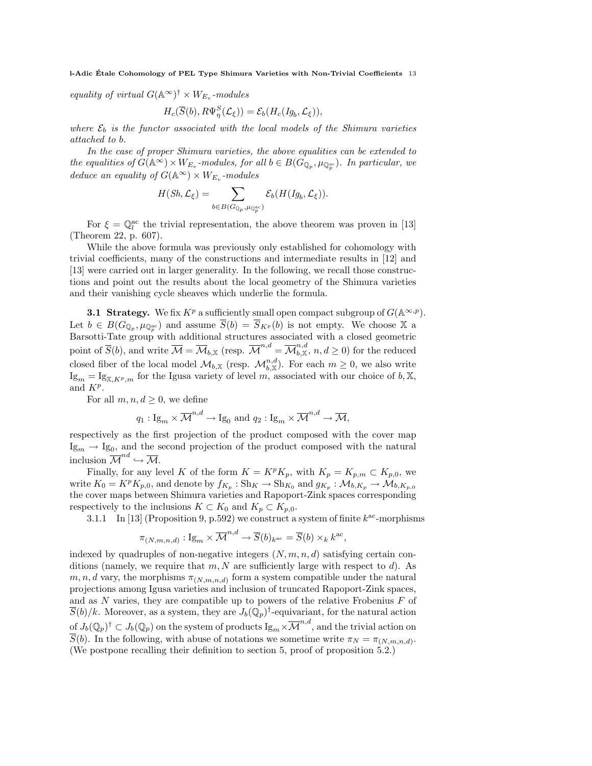equality of virtual  $G(\mathbb{A}^{\infty})^{\dagger} \times W_{E_v}$ -modules

$$
H_c(\overline{S}(b), R\Psi_\eta^S(\mathcal{L}_\xi)) = \mathcal{E}_b(H_c(Ig_b, \mathcal{L}_\xi)),
$$

where  $\mathcal{E}_b$  is the functor associated with the local models of the Shimura varieties attached to b.

In the case of proper Shimura varieties, the above equalities can be extended to the equalities of  $G(\mathbb{A}^{\infty}) \times W_{E_v}$ -modules, for all  $b \in B(G_{\mathbb{Q}_p}, \mu_{\mathbb{Q}_p^{ac}})$ . In particular, we deduce an equality of  $G(\mathbb{A}^{\infty}) \times W_{E_v}$ -modules

$$
H(Sh, \mathcal{L}_{\xi}) = \sum_{b \in B(G_{\mathbb{Q}_p}, \mu_{\mathbb{Q}_p^{\mathrm{ac}}})} \mathcal{E}_b(H(Ig_b, \mathcal{L}_{\xi})).
$$

For  $\xi = \mathbb{Q}_l^{\text{ac}}$  the trivial representation, the above theorem was proven in [13] (Theorem 22, p. 607).

While the above formula was previously only established for cohomology with trivial coefficients, many of the constructions and intermediate results in [12] and [13] were carried out in larger generality. In the following, we recall those constructions and point out the results about the local geometry of the Shimura varieties and their vanishing cycle sheaves which underlie the formula.

**3.1 Strategy.** We fix  $K^p$  a sufficiently small open compact subgroup of  $G(\mathbb{A}^{\infty,p})$ . Let  $b \in B(G_{\mathbb{Q}_p}, \mu_{\mathbb{Q}_p^{\mathrm{ac}}})$  and assume  $\overline{S}(b) = \overline{S}_{K^p}(b)$  is not empty. We choose X a Barsotti-Tate group with additional structures associated with a closed geometric point of  $\overline{S}(b)$ , and write  $\overline{\mathcal{M}} = \overline{\mathcal{M}}_{b,\mathbb{X}}$  (resp.  $\overline{\mathcal{M}}^{n,d} = \overline{\mathcal{M}}_{b,\mathbb{X}}^{n,d}, n, d \geq 0$ ) for the reduced closed fiber of the local model  $\mathcal{M}_{b,\mathbb{X}}$  (resp.  $\mathcal{M}_{b,\mathbb{X}}^{n,d}$ ). For each  $m\geq 0$ , we also write  $I_{\mathcal{S}_m} = I_{\mathcal{S}_{X,K^p,m}}$  for the Igusa variety of level m, associated with our choice of b, X, and  $K^p$ .

For all  $m, n, d \geq 0$ , we define

$$
q_1: \mathrm{Ig}_m \times \overline{\mathcal{M}}^{n,d} \to \mathrm{Ig}_0 \text{ and } q_2: \mathrm{Ig}_m \times \overline{\mathcal{M}}^{n,d} \to \overline{\mathcal{M}},
$$

respectively as the first projection of the product composed with the cover map  $\text{Ig}_m \to \text{Ig}_0$ , and the second projection of the product composed with the natural inclusion  $\overline{\mathcal{M}}^{nd} \hookrightarrow \overline{\mathcal{M}}$ .

Finally, for any level K of the form  $K = K^p K_p$ , with  $K_p = K_{p,m} \subset K_{p,0}$ , we write  $K_0 = K^p K_{p,0}$ , and denote by  $f_{K_p} : Sh_K \to Sh_{K_0}$  and  $g_{K_p} : \mathcal{M}_{b,K_p} \to \mathcal{M}_{b,K_{p,0}}$ the cover maps between Shimura varieties and Rapoport-Zink spaces corresponding respectively to the inclusions  $K \subset K_0$  and  $K_p \subset K_{p,0}$ .

3.1.1 In [13] (Proposition 9, p.592) we construct a system of finite  $k^{ac}$ -morphisms

$$
\pi_{(N,m,n,d)}: \mathrm{Ig}_m \times \overline{\mathcal{M}}^{n,d} \to \overline{S}(b)_{k^{\mathrm{ac}}} = \overline{S}(b) \times_k k^{\mathrm{ac}},
$$

indexed by quadruples of non-negative integers  $(N, m, n, d)$  satisfying certain conditions (namely, we require that  $m, N$  are sufficiently large with respect to d). As  $m, n, d$  vary, the morphisms  $\pi_{(N,m,n,d)}$  form a system compatible under the natural projections among Igusa varieties and inclusion of truncated Rapoport-Zink spaces, and as  $N$  varies, they are compatible up to powers of the relative Frobenius  $F$  of  $\overline{S}(b)/k$ . Moreover, as a system, they are  $J_b(\mathbb{Q}_p)^{\dagger}$ -equivariant, for the natural action of  $J_b(\mathbb{Q}_p)^\dagger\subset J_b(\mathbb{Q}_p)$  on the system of products  $\mathrm{Ig}_m\times\overline{\mathcal{M}}^{n,d},$  and the trivial action on  $S(b)$ . In the following, with abuse of notations we sometime write  $\pi_N = \pi_{(N,m,n,d)}$ . (We postpone recalling their definition to section 5, proof of proposition 5.2.)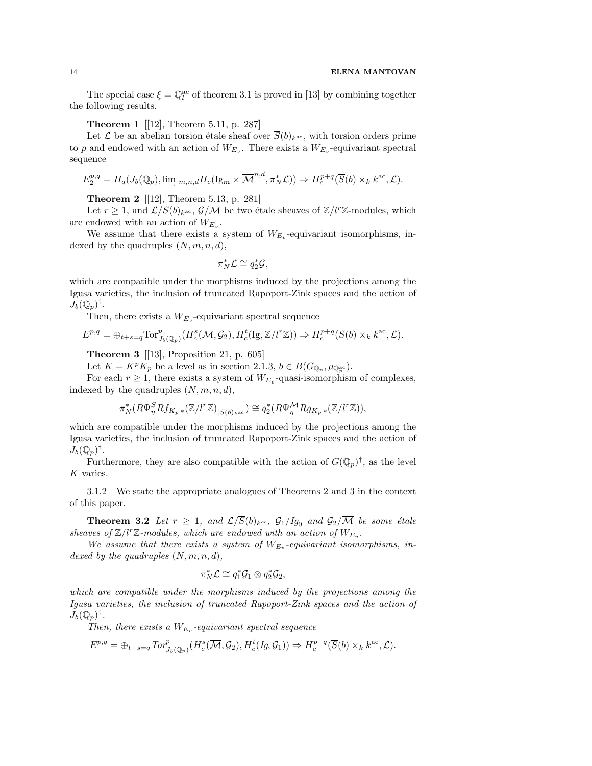The special case  $\xi = \mathbb{Q}_l^{\text{ac}}$  of theorem 3.1 is proved in [13] by combining together the following results.

Theorem 1 [[12], Theorem 5.11, p. 287]

Let  $\mathcal L$  be an abelian torsion étale sheaf over  $\overline{S}(b)_{k^{\text{ac}}}$ , with torsion orders prime to p and endowed with an action of  $W_{E_v}$ . There exists a  $W_{E_v}$ -equivariant spectral sequence

$$
E_2^{p,q} = H_q(J_b(\mathbb{Q}_p), \underline{\lim}_{m,n,d} H_c(\mathrm{Ig}_m \times \overline{\mathcal{M}}^{n,d}, \pi_N^* \mathcal{L})) \Rightarrow H_c^{p+q}(\overline{S}(b) \times_k k^{\mathrm{ac}}, \mathcal{L}).
$$

Theorem 2 [[12], Theorem 5.13, p. 281]

Let  $r \geq 1$ , and  $\mathcal{L}/\overline{S}(b)_{k^{\text{ac}}}, \mathcal{G}/\overline{\mathcal{M}}$  be two étale sheaves of  $\mathbb{Z}/l^r\mathbb{Z}$ -modules, which are endowed with an action of  $W_{E_v}$ .

We assume that there exists a system of  $W_{E_v}$ -equivariant isomorphisms, indexed by the quadruples  $(N, m, n, d)$ ,

$$
\pi_N^* \mathcal{L} \cong q_2^* \mathcal{G},
$$

which are compatible under the morphisms induced by the projections among the Igusa varieties, the inclusion of truncated Rapoport-Zink spaces and the action of  $J_b(\mathbb{Q}_p)^\dagger$ .

Then, there exists a  $W_{E_v}$ -equivariant spectral sequence

$$
E^{p,q} = \bigoplus_{t+s=q} \text{Tor}_{J_b(\mathbb{Q}_p)}^p(H^s_c(\overline{\mathcal{M}}, \mathcal{G}_2), H^t_c(\text{Ig}, \mathbb{Z}/l^r\mathbb{Z})) \Rightarrow H^{p+q}_c(\overline{S}(b) \times_k k^{\text{ac}}, \mathcal{L}).
$$

**Theorem 3** [[13], Proposition 21, p. 605]

Let  $K = K^p K_p$  be a level as in section 2.1.3,  $b \in B(G_{\mathbb{Q}_p}, \mu_{\mathbb{Q}_p^{\mathrm{ac}}}).$ 

For each  $r \geq 1$ , there exists a system of  $W_{E_v}$ -quasi-isomorphism of complexes, indexed by the quadruples  $(N, m, n, d)$ ,

$$
\pi_N^*(R\Psi_\eta^S Rf_{K_p\,*}(\mathbb{Z}/l^r\mathbb{Z})_{|\overline{S}(b)_{k^\mathrm{ac}}})\cong q_2^*(R\Psi_\eta^{\mathcal{M}}Rg_{K_p\,*}(\mathbb{Z}/l^r\mathbb{Z})),
$$

which are compatible under the morphisms induced by the projections among the Igusa varieties, the inclusion of truncated Rapoport-Zink spaces and the action of  $\widetilde{J}_b(\mathbb{Q}_p)^{\dagger}.$ 

Furthermore, they are also compatible with the action of  $G(\mathbb{Q}_p)^{\dagger}$ , as the level K varies.

3.1.2 We state the appropriate analogues of Theorems 2 and 3 in the context of this paper.

**Theorem 3.2** Let  $r \geq 1$ , and  $\mathcal{L}/\overline{S}(b)_{k^{ac}}$ ,  $\mathcal{G}_1/Ig_0$  and  $\mathcal{G}_2/\overline{\mathcal{M}}$  be some étale sheaves of  $\mathbb{Z}/l^r\mathbb{Z}$ -modules, which are endowed with an action of  $W_{E_v}$ .

We assume that there exists a system of  $W_{E_v}$ -equivariant isomorphisms, indexed by the quadruples  $(N, m, n, d)$ ,

$$
\pi_N^*{\mathcal L} \cong q_1^*{\mathcal G}_1 \otimes q_2^*{\mathcal G}_2,
$$

which are compatible under the morphisms induced by the projections among the Igusa varieties, the inclusion of truncated Rapoport-Zink spaces and the action of  $J_b(\mathbb{Q}_p)^\dagger$ .

Then, there exists a  $W_{E_v}$ -equivariant spectral sequence

$$
E^{p,q} = \bigoplus_{t+s=q} Tor^p_{J_b(\mathbb{Q}_p)}(H_c^s(\overline{\mathcal{M}}, \mathcal{G}_2), H_c^t(Ig, \mathcal{G}_1)) \Rightarrow H_c^{p+q}(\overline{S}(b) \times_k k^{ac}, \mathcal{L}).
$$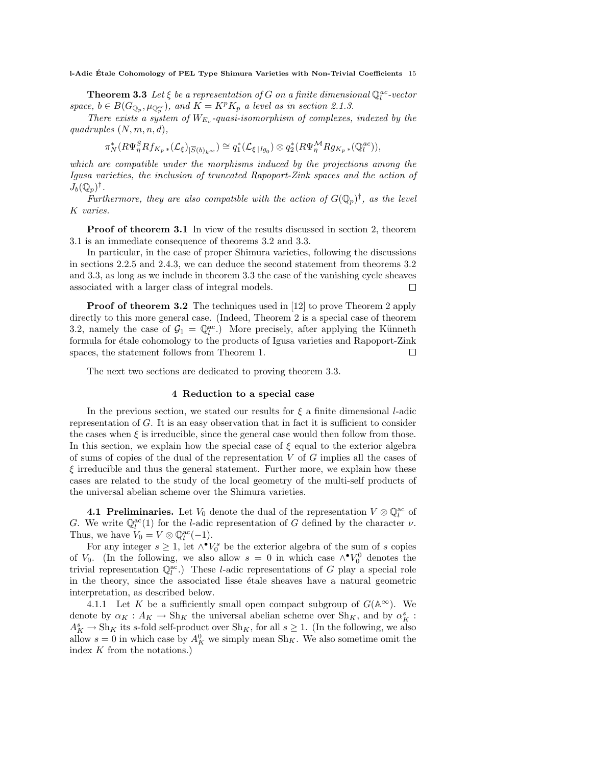**Theorem 3.3** Let  $\xi$  be a representation of G on a finite dimensional  $\mathbb{Q}_l^{ac}$ -vector space,  $b \in B(G_{\mathbb{Q}_p}, \mu_{\mathbb{Q}_p^{ac}})$ , and  $K = K^p K_p$  a level as in section 2.1.3.

There exists a system of  $W_{E_v}$ -quasi-isomorphism of complexes, indexed by the quadruples  $(N, m, n, d)$ ,

$$
\pi_N^*(R\Psi_\eta^S Rf_{K_p\,*}(\mathcal{L}_\xi)_{|\overline{S}(b)_{k^{ac}}})\cong q_1^*(\mathcal{L}_{\xi\,|Ig_0})\otimes q_2^*(R\Psi_\eta^{\mathcal{M}} Rg_{K_p\,*}(\mathbb{Q}_l^{ac})),
$$

which are compatible under the morphisms induced by the projections among the Igusa varieties, the inclusion of truncated Rapoport-Zink spaces and the action of  $J_b(\mathbb{Q}_p)^{\dagger}$ .

Furthermore, they are also compatible with the action of  $G(\mathbb{Q}_p)^{\dagger}$ , as the level K varies.

**Proof of theorem 3.1** In view of the results discussed in section 2, theorem 3.1 is an immediate consequence of theorems 3.2 and 3.3.

In particular, in the case of proper Shimura varieties, following the discussions in sections 2.2.5 and 2.4.3, we can deduce the second statement from theorems 3.2 and 3.3, as long as we include in theorem 3.3 the case of the vanishing cycle sheaves associated with a larger class of integral models.  $\Box$ 

**Proof of theorem 3.2** The techniques used in [12] to prove Theorem 2 apply directly to this more general case. (Indeed, Theorem 2 is a special case of theorem 3.2, namely the case of  $\mathcal{G}_1 = \mathbb{Q}_l^{ac}$ . More precisely, after applying the Künneth formula for étale cohomology to the products of Igusa varieties and Rapoport-Zink spaces, the statement follows from Theorem 1.  $\Box$ 

The next two sections are dedicated to proving theorem 3.3.

## 4 Reduction to a special case

In the previous section, we stated our results for  $\xi$  a finite dimensional *l*-adic representation of G. It is an easy observation that in fact it is sufficient to consider the cases when  $\xi$  is irreducible, since the general case would then follow from those. In this section, we explain how the special case of  $\xi$  equal to the exterior algebra of sums of copies of the dual of the representation  $V$  of  $G$  implies all the cases of  $\xi$  irreducible and thus the general statement. Further more, we explain how these cases are related to the study of the local geometry of the multi-self products of the universal abelian scheme over the Shimura varieties.

**4.1 Preliminaries.** Let  $V_0$  denote the dual of the representation  $V \otimes \mathbb{Q}_l^{\text{ac}}$  of G. We write  $\mathbb{Q}_l^{\text{ac}}(1)$  for the *l*-adic representation of G defined by the character  $\nu$ . Thus, we have  $V_0 = V \otimes \mathbb{Q}_l^{\mathrm{ac}}(-1)$ .

For any integer  $s \geq 1$ , let  $\wedge^{\bullet} V_0^s$  be the exterior algebra of the sum of s copies of V<sub>0</sub>. (In the following, we also allow  $s = 0$  in which case  $\wedge^{\bullet}V_0^0$  denotes the trivial representation  $\mathbb{Q}_l^{\text{ac}}$ .) These *l*-adic representations of G play a special role in the theory, since the associated lisse etale sheaves have a natural geometric interpretation, as described below.

4.1.1 Let K be a sufficiently small open compact subgroup of  $G(\mathbb{A}^{\infty})$ . We denote by  $\alpha_K : A_K \to Sh_K$  the universal abelian scheme over  $Sh_K$ , and by  $\alpha_K^s$ :  $A_K^s \to Sh_K$  its s-fold self-product over  $Sh_K$ , for all  $s \geq 1$ . (In the following, we also allow  $s = 0$  in which case by  $A_K^0$  we simply mean  $\text{Sh}_K$ . We also sometime omit the index K from the notations.)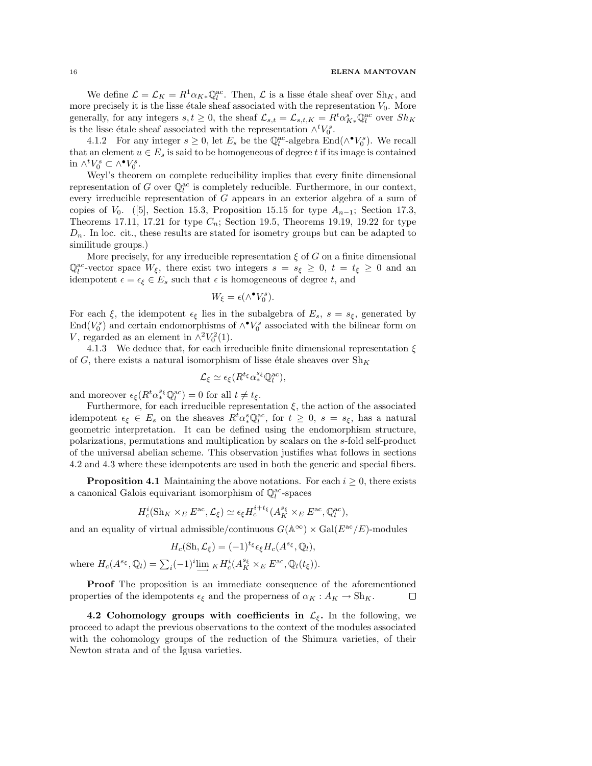We define  $\mathcal{L} = \mathcal{L}_K = R^1 \alpha_{K*} \mathbb{Q}_l^{\text{ac}}$ . Then,  $\mathcal{L}$  is a lisse étale sheaf over  $\text{Sh}_K$ , and more precisely it is the lisse étale sheaf associated with the representation  $V_0$ . More generally, for any integers  $s, t \geq 0$ , the sheaf  $\mathcal{L}_{s,t} = \mathcal{L}_{s,t,K} = R^t \alpha_{K*}^s \mathbb{Q}_l^{\text{ac}}$  over  $Sh_K$ is the lisse étale sheaf associated with the representation  $\wedge^t V_0^s$ .

4.1.2 For any integer  $s \geq 0$ , let  $E_s$  be the  $\mathbb{Q}_l^{\text{ac}}$ -algebra  $\text{End}(\wedge^{\bullet} V_0^s)$ . We recall that an element  $u \in E_s$  is said to be homogeneous of degree t if its image is contained in  $\wedge^t V_0^s \subset \wedge^{\bullet} V_0^s$ .

Weyl's theorem on complete reducibility implies that every finite dimensional representation of G over  $\mathbb{Q}_l^{\text{ac}}$  is completely reducible. Furthermore, in our context, every irreducible representation of G appears in an exterior algebra of a sum of copies of  $V_0$ . ([5], Section 15.3, Proposition 15.15 for type  $A_{n-1}$ ; Section 17.3, Theorems 17.11, 17.21 for type  $C_n$ ; Section 19.5, Theorems 19.19, 19.22 for type  $D_n$ . In loc. cit., these results are stated for isometry groups but can be adapted to similitude groups.)

More precisely, for any irreducible representation  $\xi$  of G on a finite dimensional  $\mathbb{Q}_l^{\text{ac}}$ -vector space  $W_{\xi}$ , there exist two integers  $s = s_{\xi} \geq 0$ ,  $t = t_{\xi} \geq 0$  and an idempotent  $\epsilon = \epsilon_{\xi} \in E_s$  such that  $\epsilon$  is homogeneous of degree t, and

$$
W_{\xi} = \epsilon(\wedge^{\bullet}V_0^s).
$$

For each  $\xi$ , the idempotent  $\epsilon_{\xi}$  lies in the subalgebra of  $E_s$ ,  $s = s_{\xi}$ , generated by End $(V_0^s)$  and certain endomorphisms of  $\wedge^{\bullet}V_0^s$  associated with the bilinear form on V, regarded as an element in  $\wedge^2 V_0^2(1)$ .

4.1.3 We deduce that, for each irreducible finite dimensional representation  $\xi$ of G, there exists a natural isomorphism of lisse étale sheaves over  $\text{Sh}_K$ 

$$
\mathcal{L}_{\xi} \simeq \epsilon_{\xi} (R^{t_{\xi}} \alpha_{*}^{s_{\xi}} \mathbb{Q}_{l}^{\text{ac}}),
$$

and moreover  $\epsilon_{\xi}(R^t \alpha_*^{s_{\xi}} \mathbb{Q}_l^{\text{ac}}) = 0$  for all  $t \neq t_{\xi}$ .

Furthermore, for each irreducible representation  $\xi$ , the action of the associated idempotent  $\epsilon_{\xi} \in E_s$  on the sheaves  $R^t \alpha_*^s \mathbb{Q}_l^{\alpha c}$ , for  $t \geq 0$ ,  $s = s_{\xi}$ , has a natural geometric interpretation. It can be defined using the endomorphism structure, polarizations, permutations and multiplication by scalars on the s-fold self-product of the universal abelian scheme. This observation justifies what follows in sections 4.2 and 4.3 where these idempotents are used in both the generic and special fibers.

**Proposition 4.1** Maintaining the above notations. For each  $i \geq 0$ , there exists a canonical Galois equivariant isomorphism of  $\mathbb{Q}_l^{\rm ac}\text{-spaces}$ 

$$
H_c^i(\text{Sh}_K \times_E E^{ac}, \mathcal{L}_\xi) \simeq \epsilon_\xi H_c^{i+t_\xi} (A_K^{s_\xi} \times_E E^{ac}, \mathbb{Q}_l^{ac}),
$$

and an equality of virtual admissible/continuous  $G(\mathbb{A}^{\infty}) \times \text{Gal}(E^{\text{ac}}/E)$ -modules

$$
H_c(\mathrm{Sh}, \mathcal{L}_\xi) = (-1)^{t_\xi} \epsilon_\xi H_c(A^{s_\xi}, \mathbb{Q}_l),
$$

where  $H_c(A^{s_{\xi}}, \mathbb{Q}_l) = \sum_i (-1)^i \lim_{\longrightarrow} {}_K H_c^i(A_K^{s_{\xi}} \times_E E^{ac}, \mathbb{Q}_l(t_{\xi})).$ 

Proof The proposition is an immediate consequence of the aforementioned properties of the idempotents  $\epsilon_{\xi}$  and the properness of  $\alpha_K : A_K \to Sh_K$ .  $\Box$ 

4.2 Cohomology groups with coefficients in  $\mathcal{L}_{\xi}$ . In the following, we proceed to adapt the previous observations to the context of the modules associated with the cohomology groups of the reduction of the Shimura varieties, of their Newton strata and of the Igusa varieties.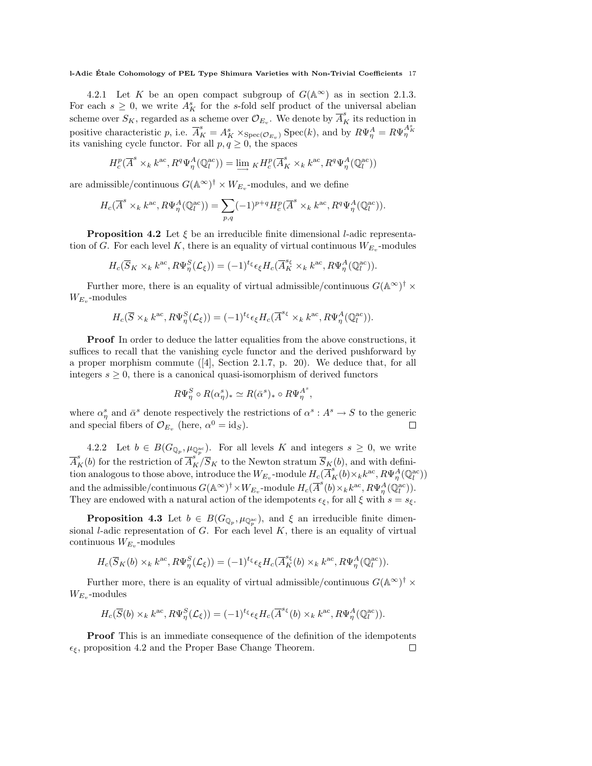4.2.1 Let K be an open compact subgroup of  $G(\mathbb{A}^{\infty})$  as in section 2.1.3. For each  $s \geq 0$ , we write  $A_K^s$  for the s-fold self product of the universal abelian scheme over  $S_K$ , regarded as a scheme over  $\mathcal{O}_{E_v}$ . We denote by  $\overline{A}_K^s$  its reduction in positive characteristic p, i.e.  $\overline{A}_{K}^{s} = A_{K}^{s} \times_{\text{Spec}(\mathcal{O}_{E_{v}})} \text{Spec}(k)$ , and by  $R\Psi_{\eta}^{A} = R\Psi_{\eta}^{A_{K}^{s}}$ its vanishing cycle functor. For all  $p, q \geq 0$ , the spaces

$$
H^p_c(\overline{A}^s\times_k k^{\mathrm{ac}}, R^q \Psi^A_\eta(\mathbb{Q}_l^{\mathrm{ac}}))=\varinjlim{}_K H^p_c(\overline{A}^s_K\times_k k^{\mathrm{ac}}, R^q \Psi^A_\eta(\mathbb{Q}_l^{\mathrm{ac}}))
$$

are admissible/continuous  $G(\mathbb{A}^{\infty})^{\dagger} \times W_{E_v}$ -modules, and we define

$$
H_c(\overline{A}^s\times_k k^{\mathrm{ac}}, R\Psi_{\eta}^A(\mathbb{Q}_l^{\mathrm{ac}}))=\sum_{p,q} (-1)^{p+q} H_c^p(\overline{A}^s\times_k k^{\mathrm{ac}}, R^q\Psi_{\eta}^A(\mathbb{Q}_l^{\mathrm{ac}})).
$$

**Proposition 4.2** Let  $\xi$  be an irreducible finite dimensional *l*-adic representation of G. For each level K, there is an equality of virtual continuous  $W_{E_v}$ -modules

$$
H_c(\overline{S}_K \times_k k^{\text{ac}}, R\Psi_{\eta}^S(\mathcal{L}_{\xi})) = (-1)^{t_{\xi}} \epsilon_{\xi} H_c(\overline{A}_K^{\text{sg}} \times_k k^{\text{ac}}, R\Psi_{\eta}^A(\mathbb{Q}_l^{\text{ac}})).
$$

Further more, there is an equality of virtual admissible/continuous  $G(A^{\infty})^{\dagger} \times$  $W_{E_v}$ -modules

$$
H_c(\overline{S} \times_k k^{\text{ac}}, R\Psi_\eta^S(\mathcal{L}_\xi)) = (-1)^{t_\xi} \epsilon_\xi H_c(\overline{A}^{s_\xi} \times_k k^{\text{ac}}, R\Psi_\eta^A(\mathbb{Q}_l^{\text{ac}})).
$$

Proof In order to deduce the latter equalities from the above constructions, it suffices to recall that the vanishing cycle functor and the derived pushforward by a proper morphism commute ([4], Section 2.1.7, p. 20). We deduce that, for all integers  $s \geq 0$ , there is a canonical quasi-isomorphism of derived functors

$$
R\Psi_{\eta}^{S} \circ R(\alpha_{\eta}^{s})_{*} \simeq R(\bar{\alpha}^{s})_{*} \circ R\Psi_{\eta}^{A^{s}}
$$

,

where  $\alpha_{\eta}^{s}$  and  $\bar{\alpha}^{s}$  denote respectively the restrictions of  $\alpha^{s}: A^{s} \to S$  to the generic and special fibers of  $\mathcal{O}_{E_v}$  (here,  $\alpha^0 = \text{id}_S$ ).  $\Box$ 

4.2.2 Let  $b \in B(G_{\mathbb{Q}_p}, \mu_{\mathbb{Q}_p^{\mathrm{ac}}})$ . For all levels K and integers  $s \geq 0$ , we write  $\overline{A}_K^s(b)$  for the restriction of  $\overline{A}_K^{s^*}/\overline{S}_K$  to the Newton stratum  $\overline{S}_K(b)$ , and with definition analogous to those above, introduce the  $W_{E_v}$ -module  $H_c(\overline{A}_{K}^{s}(b) \times_k k^{ac}, R\Psi_{\eta}^A(\mathbb{Q}_l^{ac}))$ and the admissible/continuous  $G(\mathbb{A}^{\infty})^{\dagger} \times W_{E_v}$ -module  $H_c(\overline{A}^s(b) \times_k k^{ac}, R\Psi^A_\eta(\mathbb{Q}_l^{ac}))$ . They are endowed with a natural action of the idempotents  $\epsilon_{\xi}$ , for all  $\xi$  with  $s = s_{\xi}$ .

**Proposition 4.3** Let  $b \in B(G_{\mathbb{Q}_p}, \mu_{\mathbb{Q}_p^{\mathrm{ac}}})$ , and  $\xi$  an irreducible finite dimensional *l*-adic representation of  $G$ . For each level  $K$ , there is an equality of virtual continuous  $W_{E_v}$ -modules

$$
H_c(\overline{S}_K(b)\times_k k^{\mathrm{ac}}, R\Psi_\eta^S(\mathcal{L}_\xi))=(-1)^{t_\xi}\epsilon_\xi H_c(\overline{A}^{s_\xi}_K(b)\times_k k^{\mathrm{ac}}, R\Psi_\eta^A(\mathbb{Q}_l^{\mathrm{ac}})).
$$

Further more, there is an equality of virtual admissible/continuous  $G(A^{\infty})^{\dagger} \times$  $W_{E_v}$ -modules

$$
H_c(\overline{S}(b)\times_k k^{\mathrm{ac}}, R\Psi_\eta^S(\mathcal{L}_\xi))=(-1)^{t_\xi}\epsilon_\xi H_c(\overline{A}^{s_\xi}(b)\times_k k^{\mathrm{ac}}, R\Psi_\eta^A(\mathbb{Q}_l^{\mathrm{ac}})).
$$

**Proof** This is an immediate consequence of the definition of the idempotents  $\epsilon_{\xi}$ , proposition 4.2 and the Proper Base Change Theorem.  $\Box$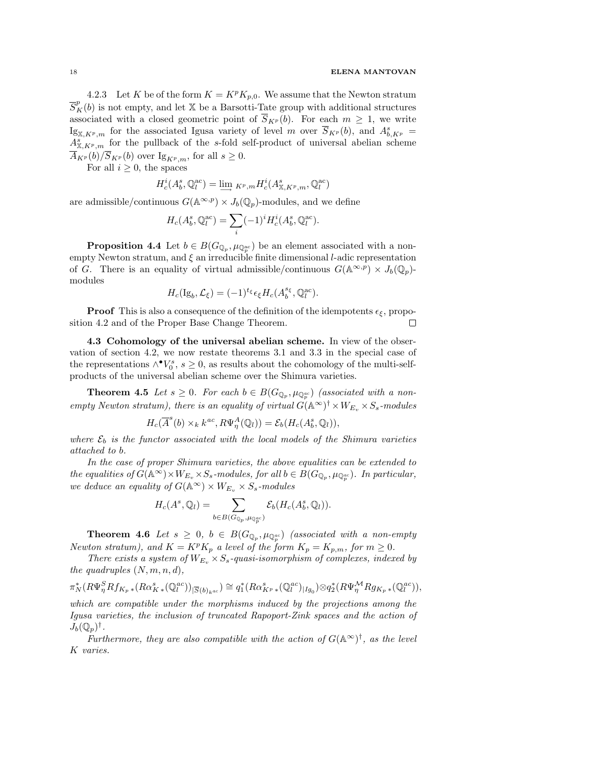4.2.3 Let K be of the form  $K = K^p K_{p,0}$ . We assume that the Newton stratum  $\overline{S}_{K}^{p}(b)$  is not empty, and let X be a Barsotti-Tate group with additional structures associated with a closed geometric point of  $\overline{S}_{K^p}(b)$ . For each  $m \geq 1$ , we write  $\text{Ig}_{\mathbb{X}, K^p,m}$  for the associated Igusa variety of level m over  $\overline{S}_{K^p}(b)$ , and  $A^s_{b,K^p}$  =  $A_{\mathbb{X}, K^p,m}^s$  for the pullback of the s-fold self-product of universal abelian scheme  $\overline{A}_{K^p}(b)/\overline{S}_{K^p}(b)$  over  $I_{\mathcal{S}_{K^p},m}$ , for all  $s\geq 0$ .

For all  $i \geq 0$ , the spaces

$$
H^i_c(A_b^s,\mathbb{Q}_l^{\mathrm{ac}})=\varinjlim{}_{K^p,m}H^i_c(A_{\mathbb{X},K^p,m}^s,\mathbb{Q}_l^{\mathrm{ac}})
$$

are admissible/continuous  $G(\mathbb{A}^{\infty,p}) \times J_b(\mathbb{Q}_p)$ -modules, and we define

$$
H_c(A_b^s,\mathbb{Q}_l^{\mathrm{ac}}) = \sum_i (-1)^i H_c^i(A_b^s,\mathbb{Q}_l^{\mathrm{ac}}).
$$

**Proposition 4.4** Let  $b \in B(G_{\mathbb{Q}_p}, \mu_{\mathbb{Q}_p^{ac}})$  be an element associated with a nonempty Newton stratum, and  $\xi$  an irreducible finite dimensional *l*-adic representation of G. There is an equality of virtual admissible/continuous  $G(\mathbb{A}^{\infty,p}) \times J_b(\mathbb{Q}_p)$ modules

$$
H_c(\mathrm{Ig}_b, \mathcal{L}_\xi) = (-1)^{t_\xi} \epsilon_\xi H_c(A_b^{s_\xi}, \mathbb{Q}_l^{\mathrm{ac}}).
$$

**Proof** This is also a consequence of the definition of the idempotents  $\epsilon_{\xi}$ , proposition 4.2 and of the Proper Base Change Theorem.  $\Box$ 

4.3 Cohomology of the universal abelian scheme. In view of the observation of section 4.2, we now restate theorems 3.1 and 3.3 in the special case of the representations  $\wedge^{\bullet}V_0^s$ ,  $s \geq 0$ , as results about the cohomology of the multi-selfproducts of the universal abelian scheme over the Shimura varieties.

**Theorem 4.5** Let  $s \geq 0$ . For each  $b \in B(G_{\mathbb{Q}_p}, \mu_{\mathbb{Q}_p^{ac}})$  (associated with a nonempty Newton stratum), there is an equality of virtual  $\hat{G}(\mathbb{A}^{\infty})^{\dagger} \times W_{E_v} \times S_s$ -modules

$$
H_c(\overline{A}^s(b) \times_k k^{ac}, R\Psi^A_\eta(\mathbb{Q}_l)) = \mathcal{E}_b(H_c(A_b^s, \mathbb{Q}_l)),
$$

where  $\mathcal{E}_b$  is the functor associated with the local models of the Shimura varieties attached to b.

In the case of proper Shimura varieties, the above equalities can be extended to the equalities of  $G(\mathbb{A}^{\infty}) \times W_{E_v} \times S_s$ -modules, for all  $b \in B(G_{\mathbb{Q}_p}, \mu_{\mathbb{Q}_p^{ac}})$ . In particular, we deduce an equality of  $G(\mathbb{A}^{\infty}) \times W_{E_v} \times S_s$ -modules

$$
H_c(A^s, \mathbb{Q}_l) = \sum_{b \in B(G_{\mathbb{Q}_p}, \mu_{\mathbb{Q}_p^{ac}})} \mathcal{E}_b(H_c(A_b^s, \mathbb{Q}_l)).
$$

**Theorem 4.6** Let  $s \geq 0$ ,  $b \in B(G_{\mathbb{Q}_p}, \mu_{\mathbb{Q}_p^{ac}})$  (associated with a non-empty Newton stratum), and  $K = K^p K_p$  a level of the form  $K_p = K_{p,m}$ , for  $m \geq 0$ .

There exists a system of  $W_{E_v} \times S_s$ -quasi-isomorphism of complexes, indexed by the quadruples  $(N, m, n, d)$ ,

$$
\pi_N^*(R\Psi_{\eta}^S Rf_{K_p \ast}(R\alpha_{K\ast}^s(\mathbb{Q}_l^{ac}))_{|\overline{S}(b)_{k^{ac}}}) \cong q_1^*(R\alpha_{K^p \ast}^s(\mathbb{Q}_l^{ac})_{|Ig_0}) \otimes q_2^*(R\Psi_{\eta}^M Rg_{K_p \ast}(\mathbb{Q}_l^{ac})),
$$

which are compatible under the morphisms induced by the projections among the Igusa varieties, the inclusion of truncated Rapoport-Zink spaces and the action of  $J_b(\mathbb{Q}_p)^\dagger$ .

Furthermore, they are also compatible with the action of  $G(A^{\infty})^{\dagger}$ , as the level K varies.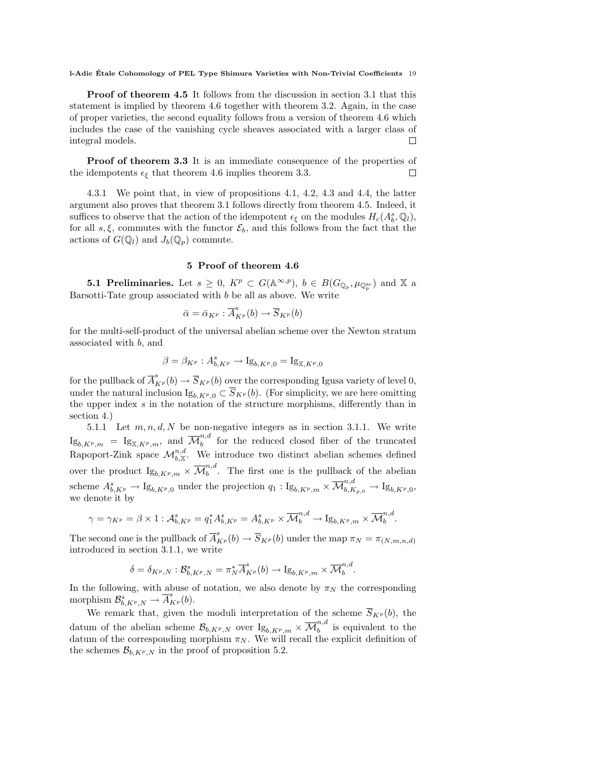Proof of theorem 4.5 It follows from the discussion in section 3.1 that this statement is implied by theorem 4.6 together with theorem 3.2. Again, in the case of proper varieties, the second equality follows from a version of theorem 4.6 which includes the case of the vanishing cycle sheaves associated with a larger class of integral models.  $\Box$ 

Proof of theorem 3.3 It is an immediate consequence of the properties of the idempotents  $\epsilon_{\xi}$  that theorem 4.6 implies theorem 3.3.  $\Box$ 

4.3.1 We point that, in view of propositions 4.1, 4.2, 4.3 and 4.4, the latter argument also proves that theorem 3.1 follows directly from theorem 4.5. Indeed, it suffices to observe that the action of the idempotent  $\epsilon_{\xi}$  on the modules  $H_c(A_b^s, \mathbb{Q}_l)$ , for all s,  $\xi$ , commutes with the functor  $\mathcal{E}_b$ , and this follows from the fact that the actions of  $G(\mathbb{Q}_l)$  and  $J_b(\mathbb{Q}_p)$  commute.

# 5 Proof of theorem 4.6

**5.1 Preliminaries.** Let  $s \geq 0$ ,  $K^p \subset G(\mathbb{A}^{\infty,p})$ ,  $b \in B(G_{\mathbb{Q}_p}, \mu_{\mathbb{Q}_p^{\mathrm{ac}}})$  and X a Barsotti-Tate group associated with  $b$  be all as above. We write

$$
\bar{\alpha} = \bar{\alpha}_{K^p} : \overline{A}_{K^p}^s(b) \to \overline{S}_{K^p}(b)
$$

for the multi-self-product of the universal abelian scheme over the Newton stratum associated with b, and

$$
\beta = \beta_{K^p} : A_{b, K^p}^s \to \mathrm{Ig}_{b, K^p, 0} = \mathrm{Ig}_{\mathbb{X}, K^p, 0}
$$

for the pullback of  $\overline{A}_{K^p}^s(b) \to \overline{S}_{K^p}(b)$  over the corresponding Igusa variety of level 0, under the natural inclusion  $I_{g_{b,K^p,0}} \subset \overline{S}_{K^p}(b)$ . (For simplicity, we are here omitting the upper index s in the notation of the structure morphisms, differently than in section 4.)

5.1.1 Let  $m, n, d, N$  be non-negative integers as in section 3.1.1. We write  $\mathrm{Ig}_{b,K^p,m}$  =  $\mathrm{Ig}_{\mathbb{X},K^p,m},$  and  $\overline{\mathcal{M}}_b^{n,d}$  $\binom{n}{b}$  for the reduced closed fiber of the truncated Rapoport-Zink space  $\mathcal{M}_{b,\mathbb{X}}^{n,d}$ . We introduce two distinct abelian schemes defined over the product  $\mathrm{Ig}_{b,K^p,m} \times \overline{\mathcal{M}}_b^{n,d}$  $b<sub>b</sub>$ <sup>n</sup>. The first one is the pullback of the abelian scheme  $A_{b,K^p}^s \to \mathrm{Ig}_{b,K^p,0}$  under the projection  $q_1: \mathrm{Ig}_{b,K^p,m} \times \overline{\mathcal{M}}_{b,K_{p,0}}^{n,d} \to \mathrm{Ig}_{b,K^p,0}$ we denote it by

$$
\gamma = \gamma_{K^p} = \beta \times 1 : \mathcal{A}_{b,K^p}^s = q_1^* A_{b,K^p}^s = A_{b,K^p}^s \times \overline{\mathcal{M}}_b^{n,d} \to \mathrm{Ig}_{b,K^p,m} \times \overline{\mathcal{M}}_b^{n,d}.
$$

The second one is the pullback of  $\overline{A}_{K^p}^s(b) \to \overline{S}_{K^p}(b)$  under the map  $\pi_N = \pi_{(N,m,n,d)}$ introduced in section 3.1.1, we write

$$
\delta = \delta_{K^p,N} : \mathcal{B}_{b,K^p,N}^s = \pi_N^* \overline{A}_{K^p}^s(b) \longrightarrow \mathrm{Ig}_{b,K^p,m} \times \overline{\mathcal{M}}_b^{n,d}.
$$

In the following, with abuse of notation, we also denote by  $\pi_N$  the corresponding morphism  $\mathcal{B}_{b,K^p,N}^s \to \overline{A}_{K^p}^s(b)$ .

We remark that, given the moduli interpretation of the scheme  $\overline{S}_{K^p}(b)$ , the datum of the abelian scheme  $\mathcal{B}_{b,K^p,N}$  over  $I_{\mathcal{S}_{b,K^p,m}} \times \overline{\mathcal{M}}_b^{n,d}$  $\binom{n}{b}$  is equivalent to the datum of the corresponding morphism  $\pi_N$ . We will recall the explicit definition of the schemes  $\mathcal{B}_{b,K^p,N}$  in the proof of proposition 5.2.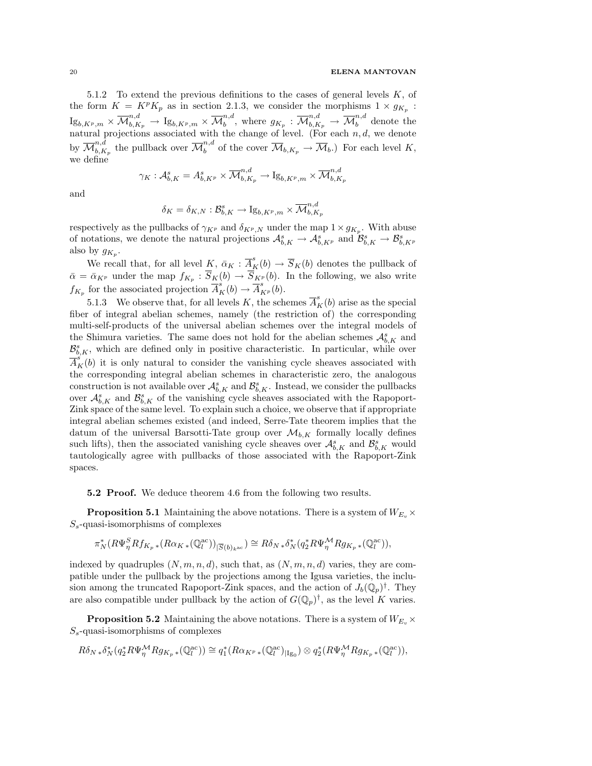5.1.2 To extend the previous definitions to the cases of general levels  $K$ , of the form  $K = K^p K_p$  as in section 2.1.3, we consider the morphisms  $1 \times g_{K_p}$ :  ${\rm Ig}_{b,K^p,m}\times\overline{\mathcal M}_{b,K_p}^{n,d}\,\to\,{\rm Ig}_{b,K^p,m}\times\overline{\mathcal M}_{b}^{n,d}$  $b^{n,d}$ , where  $g_{K_p} : \overline{\mathcal{M}}^{n,d}_{b,K_p} \to \overline{\mathcal{M}}^{n,d}_b$  denote the natural projections associated with the change of level. (For each  $n, d$ , we denote by  $\overline{\mathcal{M}}_{h,K}^{n,d}$  ${}_{b,K_p}^{n,d}$  the pullback over  $\overline{\mathcal{M}}_b^{n,d}$  of the cover  $\overline{\mathcal{M}}_{b,K_p} \to \overline{\mathcal{M}}_b$ .) For each level K, we define

$$
\gamma_K: \mathcal{A}^s_{b,K} = A^s_{b,K^p} \times \overline{\mathcal{M}}^{n,d}_{b,K_p} \to \mathrm{Ig}_{b,K^p,m} \times \overline{\mathcal{M}}^{n,d}_{b,K_p}
$$

and

$$
\delta_K = \delta_{K,N}: \mathcal{B}_{b,K}^s \to \mathrm{Ig}_{b,K^p,m} \times \overline{\mathcal{M}}_{b,K_p}^{n,d}
$$

respectively as the pullbacks of  $\gamma_{K^p}$  and  $\delta_{K^p,N}$  under the map  $1 \times g_{K_p}$ . With abuse of notations, we denote the natural projections  $\mathcal{A}_{b,K}^s \to \mathcal{A}_{b,K^p}^s$  and  $\mathcal{B}_{b,K}^s \to \mathcal{B}_{b,K^p}^s$ also by  $g_{K_p}$ .

We recall that, for all level K,  $\bar{\alpha}_K : \bar{A}^s_K(b) \to \bar{S}_K(b)$  denotes the pullback of  $\bar{\alpha} = \bar{\alpha}_{K^p}$  under the map  $f_{K_p}: S_K(b) \to S_{K^p}(b)$ . In the following, we also write  $f_{K_p}$  for the associated projection  $\overline{A}_K^s(b) \to \overline{A}_{K^p}^s(b)$ .

5.1.3 We observe that, for all levels K, the schemes  $\overline{A}_{K}^{s}(b)$  arise as the special fiber of integral abelian schemes, namely (the restriction of) the corresponding multi-self-products of the universal abelian schemes over the integral models of the Shimura varieties. The same does not hold for the abelian schemes  $\mathcal{A}_{b,K}^s$  and  $\mathcal{B}_{b,K}^s$ , which are defined only in positive characteristic. In particular, while over  $\overline{A}_{K}^{s}(b)$  it is only natural to consider the vanishing cycle sheaves associated with the corresponding integral abelian schemes in characteristic zero, the analogous construction is not available over  $\mathcal{A}_{b,K}^s$  and  $\mathcal{B}_{b,K}^s$ . Instead, we consider the pullbacks over  $\mathcal{A}_{b,K}^s$  and  $\mathcal{B}_{b,K}^s$  of the vanishing cycle sheaves associated with the Rapoport-Zink space of the same level. To explain such a choice, we observe that if appropriate integral abelian schemes existed (and indeed, Serre-Tate theorem implies that the datum of the universal Barsotti-Tate group over  $\mathcal{M}_{b,K}$  formally locally defines such lifts), then the associated vanishing cycle sheaves over  $\mathcal{A}_{b,K}^s$  and  $\mathcal{B}_{b,K}^s$  would tautologically agree with pullbacks of those associated with the Rapoport-Zink spaces.

# **5.2 Proof.** We deduce theorem 4.6 from the following two results.

**Proposition 5.1** Maintaining the above notations. There is a system of  $W_{E_n}$   $\times$  $S<sub>s</sub>$ -quasi-isomorphisms of complexes

$$
\pi_N^*(R\Psi_\eta^S Rf_{K_p\,*}(R\alpha_{K\,*}(\mathbb{Q}_l^{\mathrm{ac}}))_{|\overline{S}(b)_{k^{\mathrm{ac}}})}\cong R\delta_N{}_*\delta_N^*(q_2^*R\Psi_\eta^{\mathcal{M}}Rg_{K_p\,*}(\mathbb{Q}_l^{\mathrm{ac}})),
$$

indexed by quadruples  $(N, m, n, d)$ , such that, as  $(N, m, n, d)$  varies, they are compatible under the pullback by the projections among the Igusa varieties, the inclusion among the truncated Rapoport-Zink spaces, and the action of  $J_b(\mathbb{Q}_p)^{\dagger}$ . They are also compatible under pullback by the action of  $G(\mathbb{Q}_p)^{\dagger}$ , as the level K varies.

**Proposition 5.2** Maintaining the above notations. There is a system of  $W_{E_{\nu}} \times$  $S<sub>s</sub>$ -quasi-isomorphisms of complexes

$$
R\delta_{N*}\delta_N^*(q_2^*R\Psi_{\eta}^{\mathcal{M}}Rg_{K_p*}(\mathbb{Q}_l^{\mathrm{ac}}))\cong q_1^*(R\alpha_{K^p*}(\mathbb{Q}_l^{\mathrm{ac}})_{|Ig_0})\otimes q_2^*(R\Psi_{\eta}^{\mathcal{M}}Rg_{K_p*}(\mathbb{Q}_l^{\mathrm{ac}})),
$$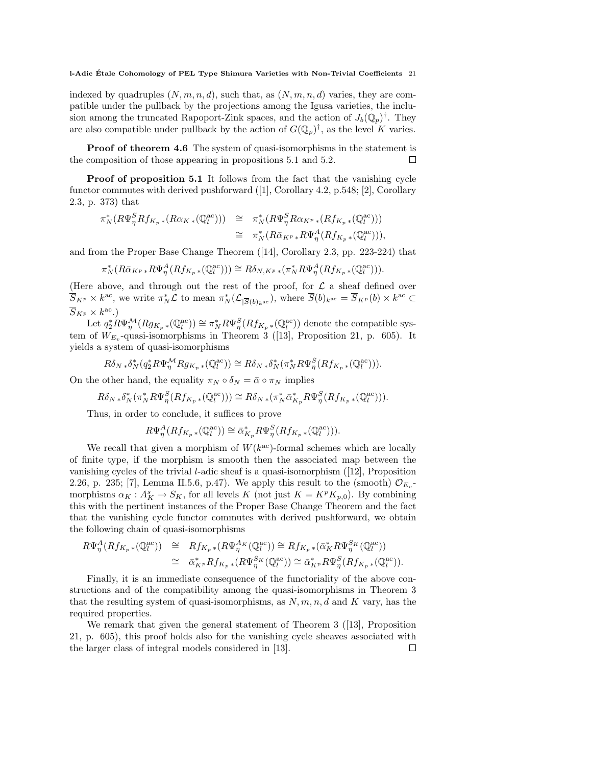indexed by quadruples  $(N, m, n, d)$ , such that, as  $(N, m, n, d)$  varies, they are compatible under the pullback by the projections among the Igusa varieties, the inclusion among the truncated Rapoport-Zink spaces, and the action of  $J_b(\mathbb{Q}_p)^{\dagger}$ . They are also compatible under pullback by the action of  $G(\mathbb{Q}_p)^{\dagger}$ , as the level K varies.

Proof of theorem 4.6 The system of quasi-isomorphisms in the statement is the composition of those appearing in propositions 5.1 and 5.2.  $\Box$ 

**Proof of proposition 5.1** It follows from the fact that the vanishing cycle functor commutes with derived pushforward ([1], Corollary 4.2, p.548; [2], Corollary 2.3, p. 373) that

$$
\pi_N^*(R\Psi_{\eta}^S Rf_{K_p *}(R\alpha_{K *}(\mathbb{Q}_l^{\text{ac}}))) \cong \pi_N^*(R\Psi_{\eta}^S R\alpha_{K^p *}(Rf_{K_p *}(\mathbb{Q}_l^{\text{ac}}))) \cong \pi_N^*(R\bar{\alpha}_{K^p} * R\Psi_{\eta}^A(Rf_{K_p *}(\mathbb{Q}_l^{\text{ac}}))),
$$

and from the Proper Base Change Theorem ([14], Corollary 2.3, pp. 223-224) that

$$
\pi_N^*(R\bar{\alpha}_{K^p} * R\Psi_{\eta}^A(Rf_{K_p} * (\mathbb{Q}_l^{\mathrm{ac}}))) \cong R\delta_{N, K^p} * (\pi_N^* R\Psi_{\eta}^A(Rf_{K_p} * (\mathbb{Q}_l^{\mathrm{ac}}))).
$$

(Here above, and through out the rest of the proof, for  $\mathcal L$  a sheaf defined over  $\overline{S}_{K^p} \times k^{\text{ac}}$ , we write  $\pi_N^* \mathcal{L}$  to mean  $\pi_N^* (\mathcal{L}_{|\overline{S}(b)_{k^{\text{ac}}}})$ , where  $\overline{S}(b)_{k^{\text{ac}}} = \overline{S}_{K^p}(b) \times k^{\text{ac}} \subset$  $\overline{S}_{K^p}\times k^{\mathrm{ac}}$ .)

Let  $q_2^* R \Psi_{\eta}^{\mathcal{M}}(Rg_{K_p \ast}(\mathbb{Q}_l^{\text{ac}})) \cong \pi_N^* R \Psi_{\eta}^S(Rf_{K_p \ast}(\mathbb{Q}_l^{\text{ac}}))$  denote the compatible system of  $W_{E_v}$ -quasi-isomorphisms in Theorem 3 ([13], Proposition 21, p. 605). It yields a system of quasi-isomorphisms

 $R\delta_N * \delta_N^*(q_2^* R \Psi_\eta^{\mathcal{M}} R g_{K_p} * (\mathbb{Q}_l^{\mathsf{ac}})) \cong R\delta_N * \delta_N^*(\pi_N^* R \Psi_\eta^S(R f_{K_p} * (\mathbb{Q}_l^{\mathsf{ac}}))).$ 

On the other hand, the equality  $\pi_N \circ \delta_N = \bar{\alpha} \circ \pi_N$  implies

$$
R\delta_{N\; *} \delta_N^*(\pi_N^*R\Psi_\eta^S(Rf_{K_p\; *}(\mathbb{Q}_l^{\mathrm{ac}})))\cong R\delta_{N\; *}(\pi_N^*\bar{\alpha}_{K_p}^*R\Psi_\eta^S(Rf_{K_p\; *}(\mathbb{Q}_l^{\mathrm{ac}}))).
$$

Thus, in order to conclude, it suffices to prove

$$
R\Psi_{\eta}^{A}(Rf_{K_p\,*}(\mathbb{Q}_l^{\rm ac}))\cong\bar{\alpha}_{K_p}^*R\Psi_{\eta}^{S}(Rf_{K_p\,*}(\mathbb{Q}_l^{\rm ac}))).
$$

We recall that given a morphism of  $W(k^{\text{ac}})$ -formal schemes which are locally of finite type, if the morphism is smooth then the associated map between the vanishing cycles of the trivial l-adic sheaf is a quasi-isomorphism ([12], Proposition 2.26, p. 235; [7], Lemma II.5.6, p.47). We apply this result to the (smooth)  $\mathcal{O}_{E_v}$ morphisms  $\alpha_K : A_K^s \to S_K$ , for all levels K (not just  $K = K^p K_{p,0}$ ). By combining this with the pertinent instances of the Proper Base Change Theorem and the fact that the vanishing cycle functor commutes with derived pushforward, we obtain the following chain of quasi-isomorphisms

$$
R\Psi_{\eta}^A(Rf_{K_p *}(\mathbb{Q}_l^{\mathrm{ac}})) \cong Rf_{K_p *}(R\Psi_{\eta}^{A_K}(\mathbb{Q}_l^{\mathrm{ac}})) \cong Rf_{K_p *}(\bar{\alpha}_K^* R\Psi_{\eta}^{S_K}(\mathbb{Q}_l^{\mathrm{ac}}))
$$
  

$$
\cong \bar{\alpha}_{K^p}^* Rf_{K_p *}(R\Psi_{\eta}^{S_K}(\mathbb{Q}_l^{\mathrm{ac}})) \cong \bar{\alpha}_{K^p}^* R\Psi_{\eta}^{S}(Rf_{K_p *}(\mathbb{Q}_l^{\mathrm{ac}})).
$$

Finally, it is an immediate consequence of the functoriality of the above constructions and of the compatibility among the quasi-isomorphisms in Theorem 3 that the resulting system of quasi-isomorphisms, as  $N, m, n, d$  and K vary, has the required properties.

We remark that given the general statement of Theorem 3 ([13], Proposition 21, p. 605), this proof holds also for the vanishing cycle sheaves associated with the larger class of integral models considered in [13]. $\Box$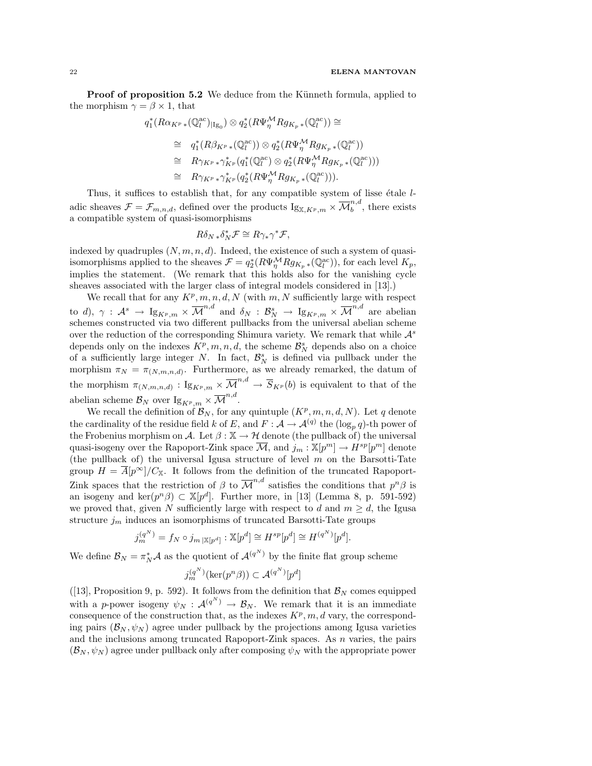**Proof of proposition 5.2** We deduce from the Künneth formula, applied to the morphism  $\gamma = \beta \times 1$ , that

$$
q_1^*(R\alpha_{K^p}*(\mathbb{Q}_l^{\mathrm{ac}})|_{Ig_0}) \otimes q_2^*(R\Psi_{\eta}^{\mathcal{M}} Rg_{K_p}*(\mathbb{Q}_l^{\mathrm{ac}})) \cong
$$
  
\n
$$
\cong q_1^*(R\beta_{K^p}*(\mathbb{Q}_l^{\mathrm{ac}})) \otimes q_2^*(R\Psi_{\eta}^{\mathcal{M}} Rg_{K_p}*(\mathbb{Q}_l^{\mathrm{ac}}))
$$
  
\n
$$
\cong R\gamma_{K^p}*\gamma_{K^p}^*(q_1^*(\mathbb{Q}_l^{\mathrm{ac}}) \otimes q_2^*(R\Psi_{\eta}^{\mathcal{M}} Rg_{K_p}*(\mathbb{Q}_l^{\mathrm{ac}})))
$$
  
\n
$$
\cong R\gamma_{K^p}*\gamma_{K^p}^*(q_2^*(R\Psi_{\eta}^{\mathcal{M}} Rg_{K_p}*(\mathbb{Q}_l^{\mathrm{ac}}))).
$$

Thus, it suffices to establish that, for any compatible system of lisse  $\epsilon$ tale ladic sheaves  $\mathcal{F} = \mathcal{F}_{m,n,d}$ , defined over the products  $I_{\mathcal{S}_{X,K^p,m}} \times \overline{\mathcal{M}}_b^{n,d}$  $\binom{n}{b}$ , there exists a compatible system of quasi-isomorphisms

$$
R\delta_{N*}\delta_N^*\mathcal{F} \cong R\gamma_*\gamma^*\mathcal{F},
$$

indexed by quadruples  $(N, m, n, d)$ . Indeed, the existence of such a system of quasiisomorphisms applied to the sheaves  $\mathcal{F} = q_2^*(R\Psi_{\eta}^{\mathcal{M}} Rg_{K_p \ast}(\mathbb{Q}_l^{\text{ac}}))$ , for each level  $K_p$ , implies the statement. (We remark that this holds also for the vanishing cycle sheaves associated with the larger class of integral models considered in [13].)

We recall that for any  $K^p, m, n, d, N$  (with m, N sufficiently large with respect to d),  $\gamma$  :  $\mathcal{A}^s \to \mathrm{Ig}_{K^p,m} \times \overline{\mathcal{M}}^{n,d}$  and  $\delta_N : \mathcal{B}_N^s \to \mathrm{Ig}_{K^p,m} \times \overline{\mathcal{M}}^{n,d}$  are abelian schemes constructed via two different pullbacks from the universal abelian scheme over the reduction of the corresponding Shimura variety. We remark that while  $\mathcal{A}^s$ depends only on the indexes  $K^p, m, n, d$ , the scheme  $\mathcal{B}_N^s$  depends also on a choice of a sufficiently large integer N. In fact,  $\mathcal{B}_N^s$  is defined via pullback under the morphism  $\pi_N = \pi_{(N,m,n,d)}$ . Furthermore, as we already remarked, the datum of the morphism  $\pi_{(N,m,n,d)} : \mathrm{Ig}_{K^p,m} \times \overline{\mathcal{M}}^{n,d} \to \overline{S}_{K^p}(b)$  is equivalent to that of the abelian scheme  $\mathcal{B}_N$  over  $I_{\mathcal{S}_{K^p,m}} \times \overline{\mathcal{M}}^{n,d}$ .

We recall the definition of  $\mathcal{B}_N$ , for any quintuple  $(K^p, m, n, d, N)$ . Let q denote the cardinality of the residue field k of E, and  $F: \mathcal{A} \to \mathcal{A}^{(q)}$  the  $(\log_p q)$ -th power of the Frobenius morphism on A. Let  $\beta : \mathbb{X} \to \mathcal{H}$  denote (the pullback of) the universal quasi-isogeny over the Rapoport-Zink space  $\overline{\mathcal{M}}$ , and  $j_m : \mathbb{X}[p^m] \to H^{sp}[p^m]$  denote (the pullback of) the universal Igusa structure of level  $m$  on the Barsotti-Tate group  $H = \overline{A[p^{\infty}]} / C_{\mathbb{X}}$ . It follows from the definition of the truncated Rapoport-Zink spaces that the restriction of  $\beta$  to  $\overline{\mathcal{M}}^{n,d}$  satisfies the conditions that  $p^n\beta$  is an isogeny and ker $(p^n\beta) \subset \mathbb{X}[p^d]$ . Further more, in [13] (Lemma 8, p. 591-592) we proved that, given N sufficiently large with respect to d and  $m \geq d$ , the Igusa structure  $j_m$  induces an isomorphisms of truncated Barsotti-Tate groups

$$
j_m^{(q^N)} = f_N \circ j_{m \,|\mathbb{X}[p^d]} : \mathbb{X}[p^d] \cong H^{sp}[p^d] \cong H^{(q^N)}[p^d].
$$

We define  $\mathcal{B}_N = \pi_N^* \mathcal{A}$  as the quotient of  $\mathcal{A}^{(q^N)}$  by the finite flat group scheme

$$
j_m^{(q^N)}(\ker(p^n\beta)) \subset \mathcal{A}^{(q^N)}[p^d]
$$

([13], Proposition 9, p. 592). It follows from the definition that  $\mathcal{B}_N$  comes equipped with a p-power isogeny  $\psi_N$  :  $\mathcal{A}^{(q^N)} \to \mathcal{B}_N$ . We remark that it is an immediate consequence of the construction that, as the indexes  $K^p$ ,  $m$ ,  $d$  vary, the corresponding pairs  $(\mathcal{B}_N, \psi_N)$  agree under pullback by the projections among Igusa varieties and the inclusions among truncated Rapoport-Zink spaces. As  $n$  varies, the pairs  $(\mathcal{B}_N, \psi_N)$  agree under pullback only after composing  $\psi_N$  with the appropriate power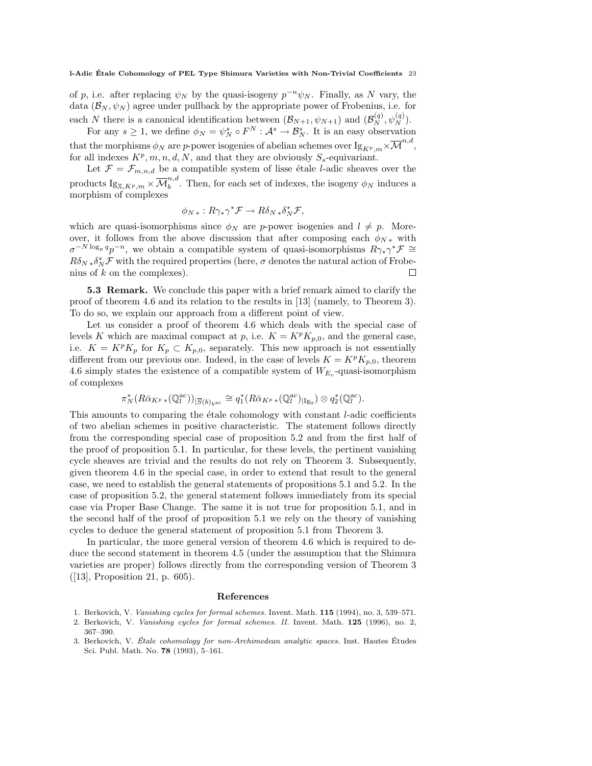of p, i.e. after replacing  $\psi_N$  by the quasi-isogeny  $p^{-n}\psi_N$ . Finally, as N vary, the data  $(\mathcal{B}_N, \psi_N)$  agree under pullback by the appropriate power of Frobenius, i.e. for each N there is a canonical identification between  $(\mathcal{B}_{N+1}, \psi_{N+1})$  and  $(\mathcal{B}_{N}^{(q)}, \psi_{N}^{(q)})$ .

For any  $s \geq 1$ , we define  $\phi_N = \psi_N^s \circ F^N : \mathcal{A}^s \to \mathcal{B}_N^s$ . It is an easy observation that the morphisms  $\phi_N$  are p-power isogenies of abelian schemes over  ${\rm Ig}_{K^p,m}\times \overline{\mathcal M}^{n,d},$ for all indexes  $K^p, m, n, d, N$ , and that they are obviously  $S_s$ -equivariant.

Let  $\mathcal{F} = \mathcal{F}_{m,n,d}$  be a compatible system of lisse étale *l*-adic sheaves over the  $\text{products } \text{Ig}_{\mathbb{X},K^p,m} \times \overline{\mathcal{M}}^{n,d}_b$  $b^{n,a}$ . Then, for each set of indexes, the isogeny  $\phi_N$  induces a morphism of complexes

$$
\phi_{N*}: R\gamma_*\gamma^* \mathcal{F} \to R\delta_{N*}\delta_N^* \mathcal{F},
$$

which are quasi-isomorphisms since  $\phi_N$  are p-power isogenies and  $l \neq p$ . Moreover, it follows from the above discussion that after composing each  $\phi_{N*}$  with  $\sigma^{-N \log_p q} p^{-n}$ , we obtain a compatible system of quasi-isomorphisms  $R\gamma_*\gamma^* \mathcal{F} \cong$  $R\delta_N*\delta_N^*\mathcal{F}$  with the required properties (here,  $\sigma$  denotes the natural action of Frobenius of  $k$  on the complexes).  $\Box$ 

5.3 Remark. We conclude this paper with a brief remark aimed to clarify the proof of theorem 4.6 and its relation to the results in [13] (namely, to Theorem 3). To do so, we explain our approach from a different point of view.

Let us consider a proof of theorem 4.6 which deals with the special case of levels K which are maximal compact at p, i.e.  $K = K^p K_{p,0}$ , and the general case, i.e.  $K = K^p K_p$  for  $K_p \subset K_{p,0}$ , separately. This new approach is not essentially different from our previous one. Indeed, in the case of levels  $K = K^p K_{p,0}$ , theorem 4.6 simply states the existence of a compatible system of  $W_{E_v}$ -quasi-isomorphism of complexes

$$
\pi_N^*(R\bar{\alpha}_{K^p \ast}(\mathbb{Q}_l^{\mathrm{ac}}))_{|\overline{S}(b)_{k^{\mathrm{ac}}}} \cong q_1^*(R\bar{\alpha}_{K^p \ast}(\mathbb{Q}_l^{\mathrm{ac}})_{|\mathrm{Ig}_0}) \otimes q_2^*(\mathbb{Q}_l^{\mathrm{ac}}).
$$

This amounts to comparing the étale cohomology with constant  $l$ -adic coefficients of two abelian schemes in positive characteristic. The statement follows directly from the corresponding special case of proposition 5.2 and from the first half of the proof of proposition 5.1. In particular, for these levels, the pertinent vanishing cycle sheaves are trivial and the results do not rely on Theorem 3. Subsequently, given theorem 4.6 in the special case, in order to extend that result to the general case, we need to establish the general statements of propositions 5.1 and 5.2. In the case of proposition 5.2, the general statement follows immediately from its special case via Proper Base Change. The same it is not true for proposition 5.1, and in the second half of the proof of proposition 5.1 we rely on the theory of vanishing cycles to deduce the general statement of proposition 5.1 from Theorem 3.

In particular, the more general version of theorem 4.6 which is required to deduce the second statement in theorem 4.5 (under the assumption that the Shimura varieties are proper) follows directly from the corresponding version of Theorem 3 ([13], Proposition 21, p. 605).

#### References

- 1. Berkovich, V. Vanishing cycles for formal schemes. Invent. Math. 115 (1994), no. 3, 539–571.
- 2. Berkovich, V. Vanishing cycles for formal schemes. II. Invent. Math. 125 (1996), no. 2, 367–390.
- 3. Berkovich, V. Étale cohomology for non-Archimedean analytic spaces. Inst. Hautes Études Sci. Publ. Math. No. 78 (1993), 5–161.